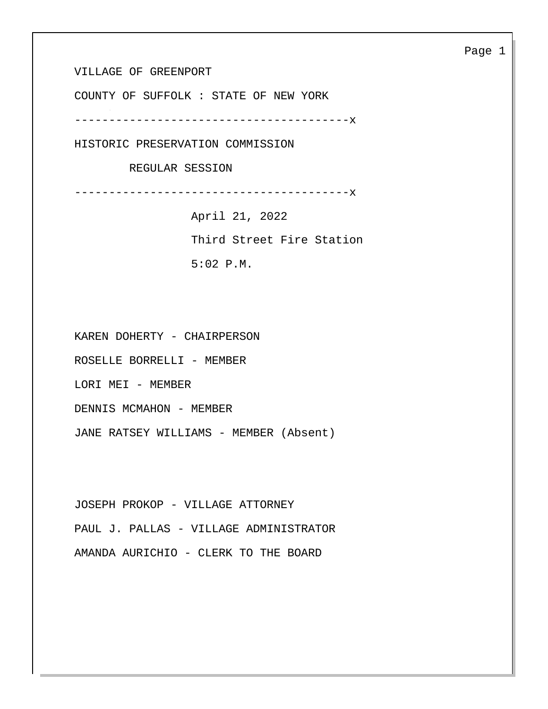VILLAGE OF GREENPORT

COUNTY OF SUFFOLK : STATE OF NEW YORK

----------------------------------------x

HISTORIC PRESERVATION COMMISSION

REGULAR SESSION

----------------------------------------x

 April 21, 2022 Third Street Fire Station 5:02 P.M.

KAREN DOHERTY - CHAIRPERSON

ROSELLE BORRELLI - MEMBER

LORI MEI - MEMBER

DENNIS MCMAHON - MEMBER

JANE RATSEY WILLIAMS - MEMBER (Absent)

JOSEPH PROKOP - VILLAGE ATTORNEY PAUL J. PALLAS - VILLAGE ADMINISTRATOR AMANDA AURICHIO - CLERK TO THE BOARD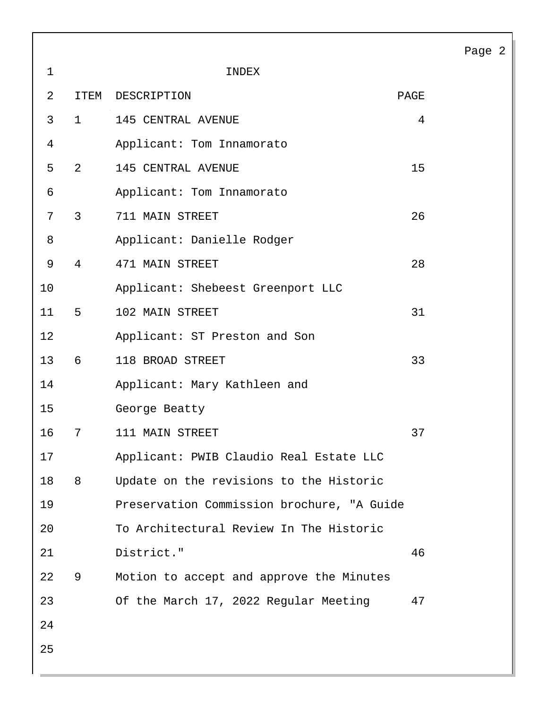|              |                |                                            |      | Page 2 |  |
|--------------|----------------|--------------------------------------------|------|--------|--|
| $\mathbf{1}$ |                | INDEX                                      |      |        |  |
| 2            | ITEM           | DESCRIPTION                                | PAGE |        |  |
| $\mathbf{3}$ | $\mathbf{1}$   | 145 CENTRAL AVENUE                         | 4    |        |  |
| 4            |                | Applicant: Tom Innamorato                  |      |        |  |
| 5            | $2^{\circ}$    | 145 CENTRAL AVENUE                         | 15   |        |  |
| 6            |                | Applicant: Tom Innamorato                  |      |        |  |
| 7            | $\mathbf{3}$   | 711 MAIN STREET                            | 26   |        |  |
| 8            |                | Applicant: Danielle Rodger                 |      |        |  |
| $\mathsf 9$  | $\overline{4}$ | 471 MAIN STREET                            | 28   |        |  |
| 10           |                | Applicant: Shebeest Greenport LLC          |      |        |  |
| 11           | 5              | 102 MAIN STREET                            | 31   |        |  |
| 12           |                | Applicant: ST Preston and Son              |      |        |  |
| 13           | 6              | 118 BROAD STREET                           | 33   |        |  |
| 14           |                | Applicant: Mary Kathleen and               |      |        |  |
| 15           |                | George Beatty                              |      |        |  |
| 16           | 7              | 111 MAIN STREET                            | 37   |        |  |
| 17           |                | Applicant: PWIB Claudio Real Estate LLC    |      |        |  |
| 18           | 8              | Update on the revisions to the Historic    |      |        |  |
| 19           |                | Preservation Commission brochure, "A Guide |      |        |  |
| 20           |                | To Architectural Review In The Historic    |      |        |  |
| 21           |                | District."                                 | 46   |        |  |
| 22           | 9              | Motion to accept and approve the Minutes   |      |        |  |
| 23           |                | Of the March 17, 2022 Regular Meeting      | 47   |        |  |
| 24           |                |                                            |      |        |  |
| 25           |                |                                            |      |        |  |
|              |                |                                            |      |        |  |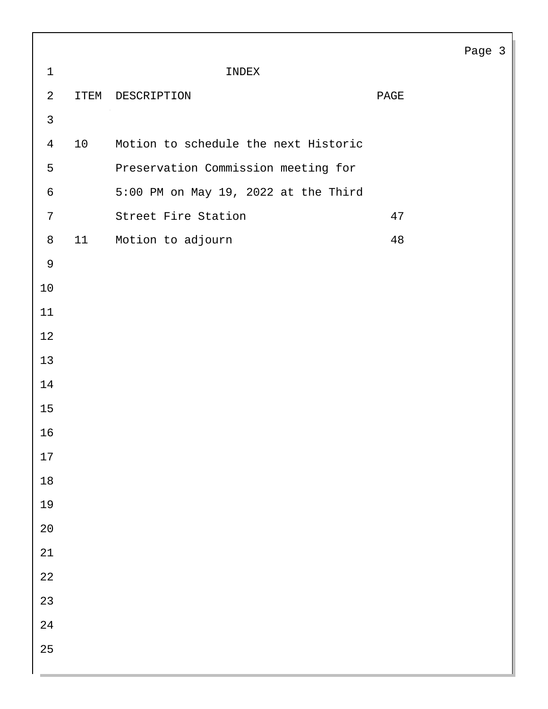|                |      |                                      |      | Page 3 |  |
|----------------|------|--------------------------------------|------|--------|--|
| $1\,$          |      | INDEX                                |      |        |  |
| $\sqrt{2}$     | ITEM | DESCRIPTION                          | PAGE |        |  |
| $\mathsf{3}$   |      |                                      |      |        |  |
| $\overline{4}$ | 10   | Motion to schedule the next Historic |      |        |  |
| 5              |      | Preservation Commission meeting for  |      |        |  |
| $\epsilon$     |      | 5:00 PM on May 19, 2022 at the Third |      |        |  |
| 7              |      | Street Fire Station                  | 47   |        |  |
| $\,8\,$        | 11   | Motion to adjourn                    | 48   |        |  |
| $\mathsf 9$    |      |                                      |      |        |  |
| $10$           |      |                                      |      |        |  |
| 11             |      |                                      |      |        |  |
| 12             |      |                                      |      |        |  |
| 13             |      |                                      |      |        |  |
| 14             |      |                                      |      |        |  |
| 15             |      |                                      |      |        |  |
| 16             |      |                                      |      |        |  |
| $17\,$         |      |                                      |      |        |  |
| $18\,$         |      |                                      |      |        |  |
| 19             |      |                                      |      |        |  |
| $20\,$         |      |                                      |      |        |  |
| $21\,$         |      |                                      |      |        |  |
| 22             |      |                                      |      |        |  |
| 23             |      |                                      |      |        |  |
| 24             |      |                                      |      |        |  |
| 25             |      |                                      |      |        |  |
|                |      |                                      |      |        |  |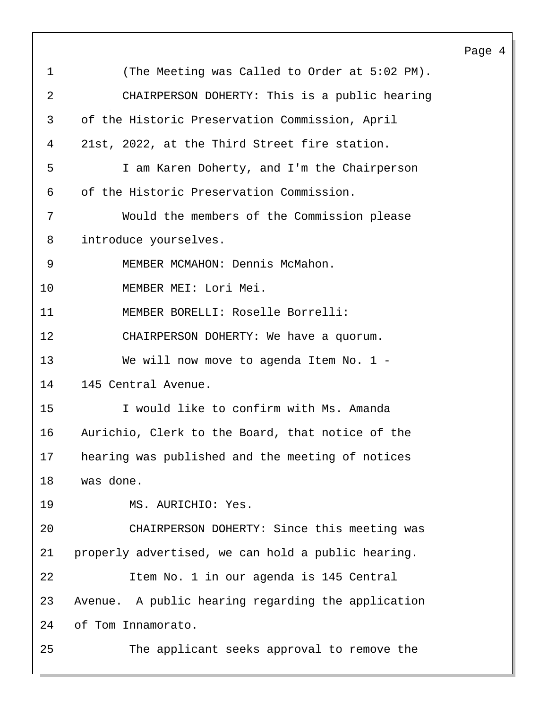|             |                                                    | Page 4 |  |
|-------------|----------------------------------------------------|--------|--|
| $\mathbf 1$ | (The Meeting was Called to Order at 5:02 PM).      |        |  |
| 2           | CHAIRPERSON DOHERTY: This is a public hearing      |        |  |
| 3           | of the Historic Preservation Commission, April     |        |  |
| 4           | 21st, 2022, at the Third Street fire station.      |        |  |
| 5           | I am Karen Doherty, and I'm the Chairperson        |        |  |
| 6           | of the Historic Preservation Commission.           |        |  |
| 7           | Would the members of the Commission please         |        |  |
| 8           | introduce yourselves.                              |        |  |
| 9           | MEMBER MCMAHON: Dennis McMahon.                    |        |  |
| 10          | MEMBER MEI: Lori Mei.                              |        |  |
| 11          | MEMBER BORELLI: Roselle Borrelli:                  |        |  |
| 12          | CHAIRPERSON DOHERTY: We have a quorum.             |        |  |
| 13          | We will now move to agenda Item No. $1 -$          |        |  |
| 14          | 145 Central Avenue.                                |        |  |
| 15          | I would like to confirm with Ms. Amanda            |        |  |
| 16          | Aurichio, Clerk to the Board, that notice of the   |        |  |
| 17          | hearing was published and the meeting of notices   |        |  |
| 18          | was done.                                          |        |  |
| 19          | MS. AURICHIO: Yes.                                 |        |  |
| 20          | CHAIRPERSON DOHERTY: Since this meeting was        |        |  |
| 21          | properly advertised, we can hold a public hearing. |        |  |
| 22          | Item No. 1 in our agenda is 145 Central            |        |  |
| 23          | Avenue. A public hearing regarding the application |        |  |
| 24          | of Tom Innamorato.                                 |        |  |
| 25          | The applicant seeks approval to remove the         |        |  |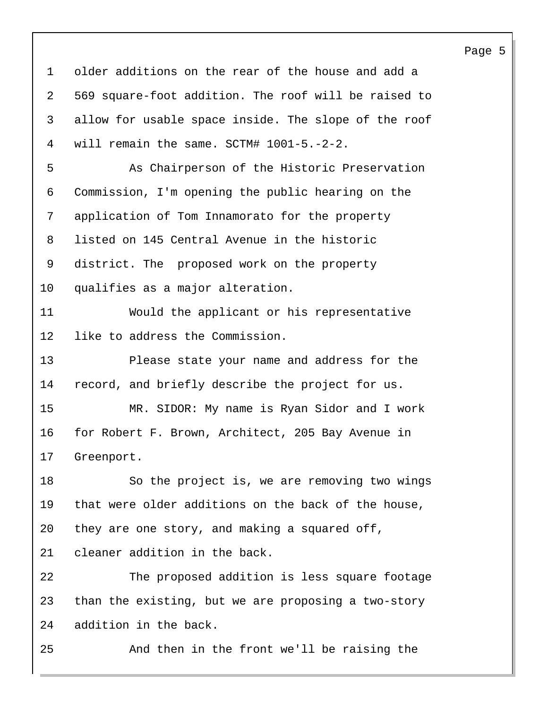older additions on the rear of the house and add a 569 square-foot addition. The roof will be raised to allow for usable space inside. The slope of the roof will remain the same. SCTM# 1001-5.-2-2. 5 As Chairperson of the Historic Preservation Commission, I'm opening the public hearing on the application of Tom Innamorato for the property listed on 145 Central Avenue in the historic district. The proposed work on the property qualifies as a major alteration. 11 Would the applicant or his representative like to address the Commission. 13 Please state your name and address for the record, and briefly describe the project for us. 15 MR. SIDOR: My name is Ryan Sidor and I work for Robert F. Brown, Architect, 205 Bay Avenue in Greenport. 18 So the project is, we are removing two wings that were older additions on the back of the house, they are one story, and making a squared off, cleaner addition in the back. 22 The proposed addition is less square footage than the existing, but we are proposing a two-story addition in the back. 25 And then in the front we'll be raising the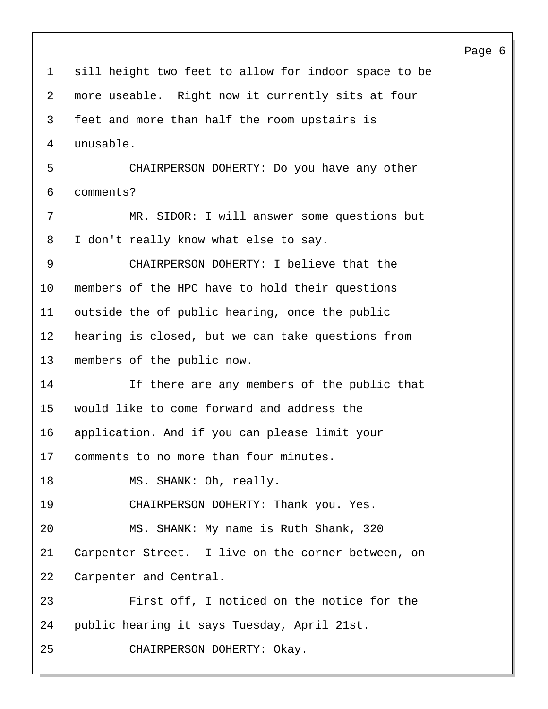Page 6 sill height two feet to allow for indoor space to be more useable. Right now it currently sits at four feet and more than half the room upstairs is unusable. 5 CHAIRPERSON DOHERTY: Do you have any other comments? 7 MR. SIDOR: I will answer some questions but I don't really know what else to say. 9 CHAIRPERSON DOHERTY: I believe that the members of the HPC have to hold their questions outside the of public hearing, once the public hearing is closed, but we can take questions from members of the public now. 14 If there are any members of the public that would like to come forward and address the application. And if you can please limit your comments to no more than four minutes. 18 MS. SHANK: Oh, really. 19 CHAIRPERSON DOHERTY: Thank you. Yes. 20 MS. SHANK: My name is Ruth Shank, 320 Carpenter Street. I live on the corner between, on Carpenter and Central. 23 First off, I noticed on the notice for the public hearing it says Tuesday, April 21st. 25 CHAIRPERSON DOHERTY: Okay.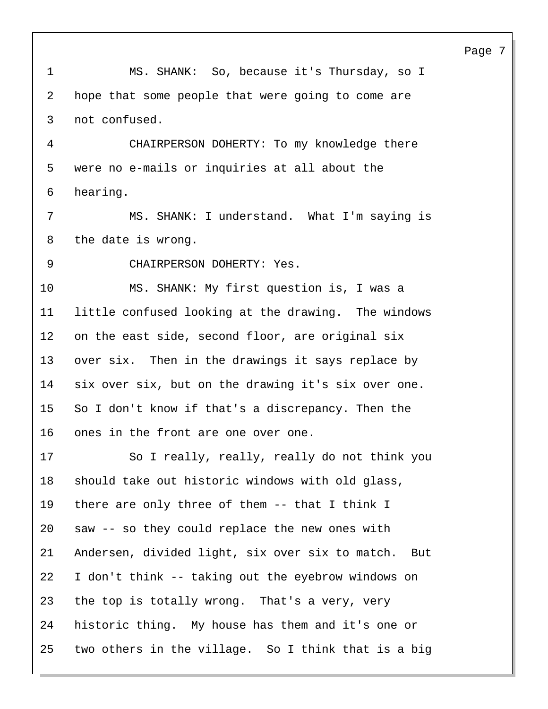Page 7 1 MS. SHANK: So, because it's Thursday, so I hope that some people that were going to come are not confused. 4 CHAIRPERSON DOHERTY: To my knowledge there were no e-mails or inquiries at all about the hearing. 7 MS. SHANK: I understand. What I'm saying is the date is wrong. 9 CHAIRPERSON DOHERTY: Yes. 10 MS. SHANK: My first question is, I was a little confused looking at the drawing. The windows on the east side, second floor, are original six over six. Then in the drawings it says replace by six over six, but on the drawing it's six over one. So I don't know if that's a discrepancy. Then the ones in the front are one over one. 17 So I really, really, really do not think you should take out historic windows with old glass, there are only three of them -- that I think I saw -- so they could replace the new ones with Andersen, divided light, six over six to match. But I don't think -- taking out the eyebrow windows on the top is totally wrong. That's a very, very historic thing. My house has them and it's one or two others in the village. So I think that is a big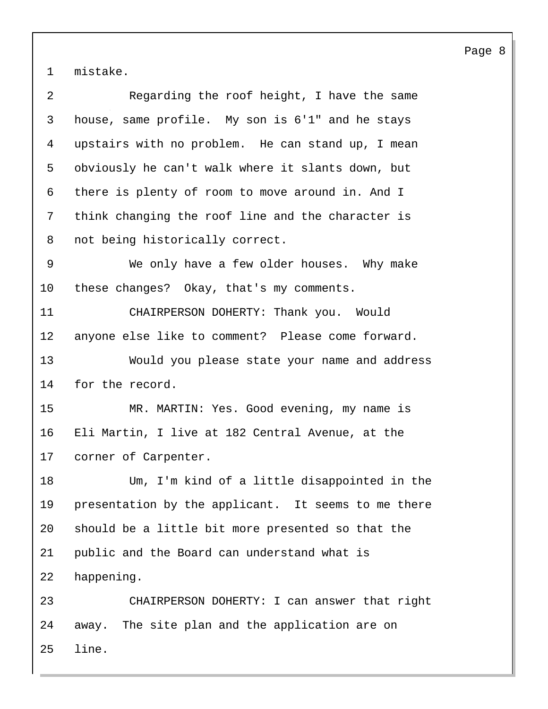mistake.

| 2  | Regarding the roof height, I have the same          |
|----|-----------------------------------------------------|
| 3  | house, same profile. My son is 6'1" and he stays    |
| 4  | upstairs with no problem. He can stand up, I mean   |
| 5  | obviously he can't walk where it slants down, but   |
| 6  | there is plenty of room to move around in. And I    |
| 7  | think changing the roof line and the character is   |
| 8  | not being historically correct.                     |
| 9  | We only have a few older houses. Why make           |
| 10 | these changes? Okay, that's my comments.            |
| 11 | CHAIRPERSON DOHERTY: Thank you. Would               |
| 12 | anyone else like to comment? Please come forward.   |
| 13 | Would you please state your name and address        |
| 14 | for the record.                                     |
| 15 | MR. MARTIN: Yes. Good evening, my name is           |
| 16 | Eli Martin, I live at 182 Central Avenue, at the    |
| 17 | corner of Carpenter.                                |
| 18 | Um, I'm kind of a little disappointed in the        |
| 19 | presentation by the applicant. It seems to me there |
| 20 | should be a little bit more presented so that the   |
| 21 | public and the Board can understand what is         |
| 22 | happening.                                          |
| 23 | CHAIRPERSON DOHERTY: I can answer that right        |
| 24 | away. The site plan and the application are on      |
| 25 | line.                                               |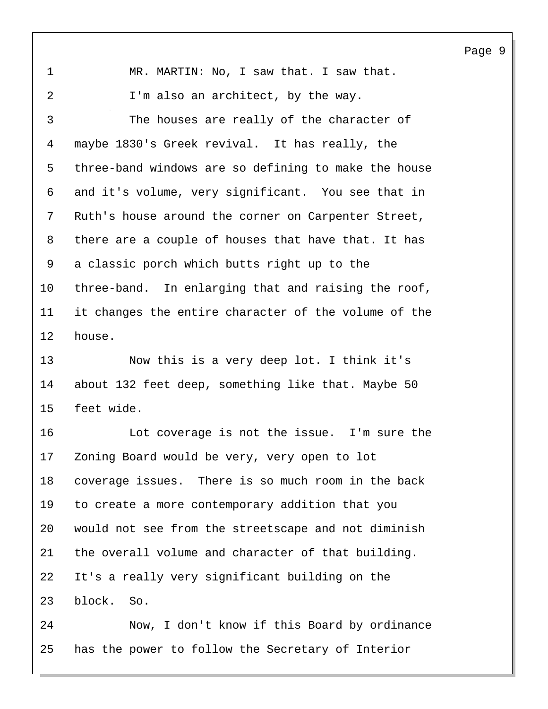1 MR. MARTIN: No, I saw that. I saw that. 2 I'm also an architect, by the way. 3 The houses are really of the character of maybe 1830's Greek revival. It has really, the three-band windows are so defining to make the house and it's volume, very significant. You see that in Ruth's house around the corner on Carpenter Street, there are a couple of houses that have that. It has a classic porch which butts right up to the three-band. In enlarging that and raising the roof, it changes the entire character of the volume of the house.

13 Now this is a very deep lot. I think it's about 132 feet deep, something like that. Maybe 50 feet wide.

16 Lot coverage is not the issue. I'm sure the Zoning Board would be very, very open to lot coverage issues. There is so much room in the back to create a more contemporary addition that you would not see from the streetscape and not diminish the overall volume and character of that building. It's a really very significant building on the block. So.

24 Now, I don't know if this Board by ordinance has the power to follow the Secretary of Interior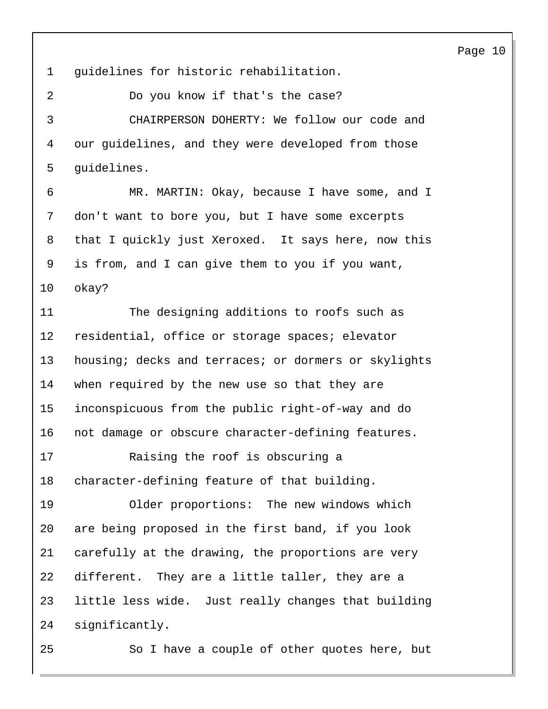guidelines for historic rehabilitation. 2 Do you know if that's the case? 3 CHAIRPERSON DOHERTY: We follow our code and our guidelines, and they were developed from those guidelines. 6 MR. MARTIN: Okay, because I have some, and I don't want to bore you, but I have some excerpts that I quickly just Xeroxed. It says here, now this is from, and I can give them to you if you want, okay? 11 The designing additions to roofs such as residential, office or storage spaces; elevator housing; decks and terraces; or dormers or skylights when required by the new use so that they are inconspicuous from the public right-of-way and do not damage or obscure character-defining features. 17 Raising the roof is obscuring a character-defining feature of that building. 19 Older proportions: The new windows which are being proposed in the first band, if you look carefully at the drawing, the proportions are very different. They are a little taller, they are a little less wide. Just really changes that building significantly. 25 So I have a couple of other quotes here, but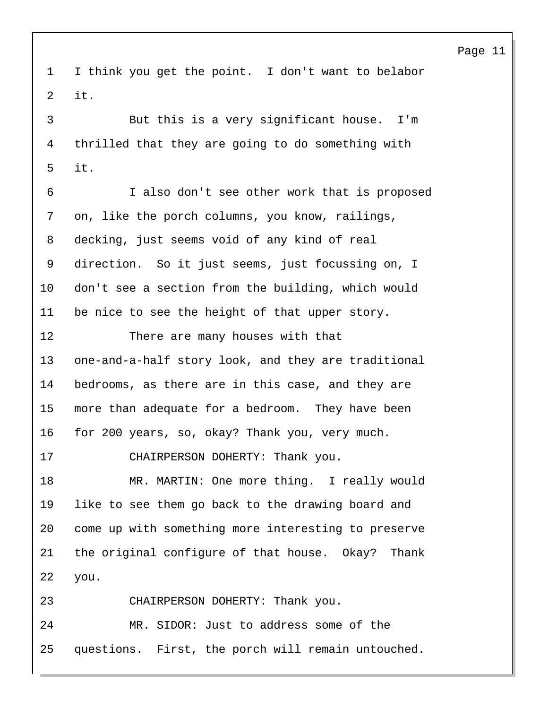I think you get the point. I don't want to belabor it.

3 But this is a very significant house. I'm thrilled that they are going to do something with it.

6 I also don't see other work that is proposed on, like the porch columns, you know, railings, decking, just seems void of any kind of real direction. So it just seems, just focussing on, I don't see a section from the building, which would be nice to see the height of that upper story.

12 There are many houses with that one-and-a-half story look, and they are traditional bedrooms, as there are in this case, and they are more than adequate for a bedroom. They have been for 200 years, so, okay? Thank you, very much.

17 CHAIRPERSON DOHERTY: Thank you.

18 MR. MARTIN: One more thing. I really would like to see them go back to the drawing board and come up with something more interesting to preserve the original configure of that house. Okay? Thank you.

23 CHAIRPERSON DOHERTY: Thank you.

24 MR. SIDOR: Just to address some of the questions. First, the porch will remain untouched.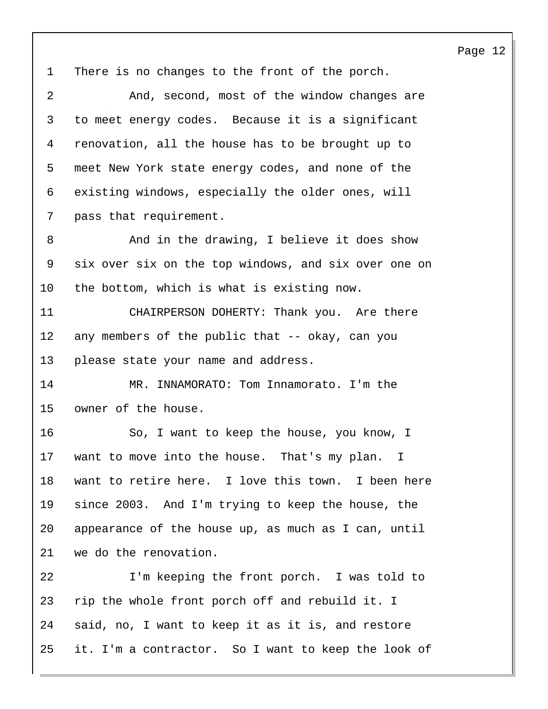There is no changes to the front of the porch. 2 And, second, most of the window changes are to meet energy codes. Because it is a significant renovation, all the house has to be brought up to meet New York state energy codes, and none of the existing windows, especially the older ones, will pass that requirement. 8 And in the drawing, I believe it does show six over six on the top windows, and six over one on the bottom, which is what is existing now. 11 CHAIRPERSON DOHERTY: Thank you. Are there any members of the public that -- okay, can you please state your name and address. 14 MR. INNAMORATO: Tom Innamorato. I'm the owner of the house. 16 So, I want to keep the house, you know, I want to move into the house. That's my plan. I want to retire here. I love this town. I been here since 2003. And I'm trying to keep the house, the appearance of the house up, as much as I can, until we do the renovation. 22 I'm keeping the front porch. I was told to rip the whole front porch off and rebuild it. I said, no, I want to keep it as it is, and restore it. I'm a contractor. So I want to keep the look of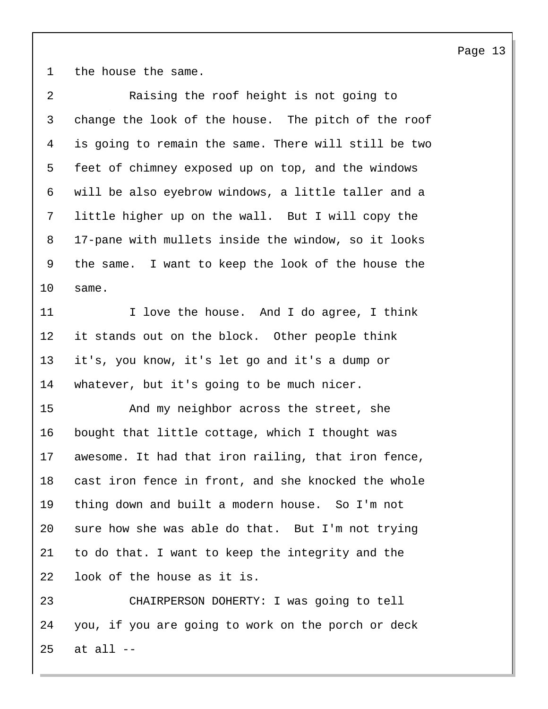the house the same.

| 2  | Raising the roof height is not going to              |
|----|------------------------------------------------------|
| 3  | change the look of the house. The pitch of the roof  |
| 4  | is going to remain the same. There will still be two |
| 5  | feet of chimney exposed up on top, and the windows   |
| 6  | will be also eyebrow windows, a little taller and a  |
| 7  | little higher up on the wall. But I will copy the    |
| 8  | 17-pane with mullets inside the window, so it looks  |
| 9  | the same. I want to keep the look of the house the   |
| 10 | same.                                                |
| 11 | I love the house. And I do agree, I think            |
| 12 | it stands out on the block. Other people think       |
| 13 | it's, you know, it's let go and it's a dump or       |
| 14 | whatever, but it's going to be much nicer.           |
| 15 | And my neighbor across the street, she               |
| 16 | bought that little cottage, which I thought was      |
| 17 | awesome. It had that iron railing, that iron fence,  |
| 18 | cast iron fence in front, and she knocked the whole  |
| 19 | thing down and built a modern house. So I'm not      |
| 20 | sure how she was able do that. But I'm not trying    |
| 21 | to do that. I want to keep the integrity and the     |
| 22 | look of the house as it is.                          |
| 23 | CHAIRPERSON DOHERTY: I was going to tell             |
| 24 | you, if you are going to work on the porch or deck   |
| 25 | at all --                                            |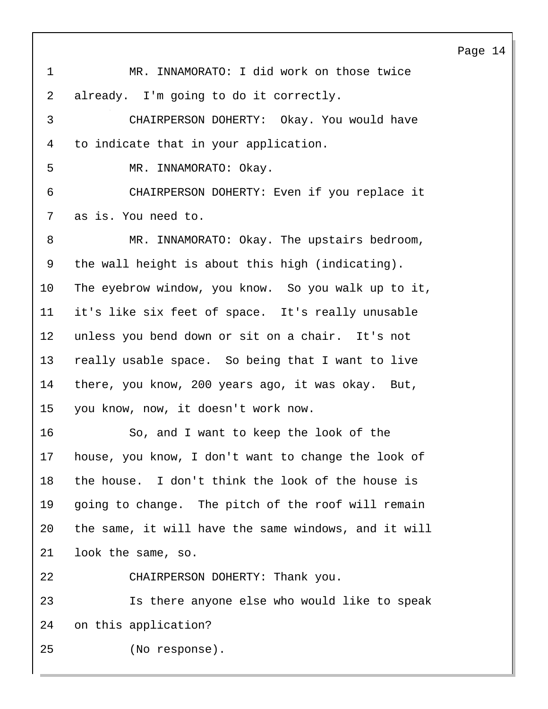1 MR. INNAMORATO: I did work on those twice already. I'm going to do it correctly. 3 CHAIRPERSON DOHERTY: Okay. You would have to indicate that in your application. 5 MR. INNAMORATO: Okay. 6 CHAIRPERSON DOHERTY: Even if you replace it as is. You need to. 8 MR. INNAMORATO: Okay. The upstairs bedroom, the wall height is about this high (indicating). The eyebrow window, you know. So you walk up to it, it's like six feet of space. It's really unusable unless you bend down or sit on a chair. It's not really usable space. So being that I want to live there, you know, 200 years ago, it was okay. But, you know, now, it doesn't work now. 16 So, and I want to keep the look of the house, you know, I don't want to change the look of the house. I don't think the look of the house is going to change. The pitch of the roof will remain the same, it will have the same windows, and it will look the same, so. 22 CHAIRPERSON DOHERTY: Thank you. 23 Is there anyone else who would like to speak on this application? 25 (No response).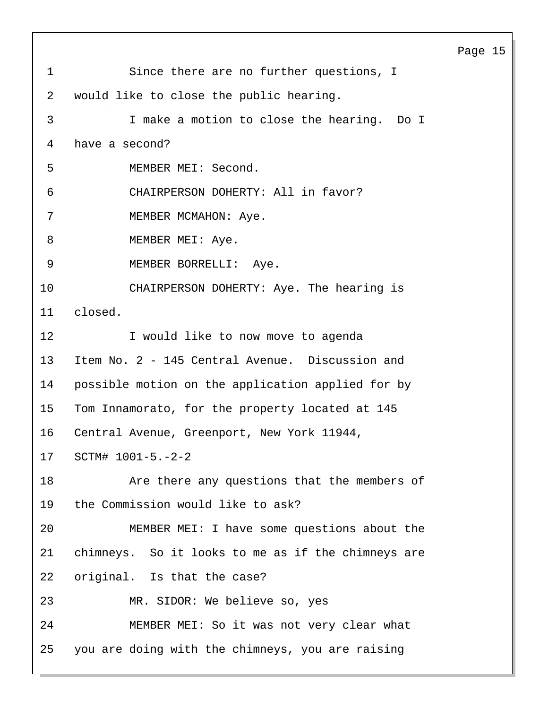1 Since there are no further questions, I 2 would like to close the public hearing. 3 I make a motion to close the hearing. Do I 4 have a second? 5 MEMBER MEI: Second. 6 CHAIRPERSON DOHERTY: All in favor? 7 MEMBER MCMAHON: Aye. 8 MEMBER MEI: Aye. 9 MEMBER BORRELLI: Aye. 10 CHAIRPERSON DOHERTY: Aye. The hearing is 11 closed. 12 **I** would like to now move to agenda 13 Item No. 2 - 145 Central Avenue. Discussion and 14 possible motion on the application applied for by 15 Tom Innamorato, for the property located at 145 16 Central Avenue, Greenport, New York 11944, 17 SCTM# 1001-5.-2-2 18 Are there any questions that the members of 19 the Commission would like to ask? 20 MEMBER MEI: I have some questions about the 21 chimneys. So it looks to me as if the chimneys are 22 original. Is that the case? 23 MR. SIDOR: We believe so, yes 24 MEMBER MEI: So it was not very clear what 25 you are doing with the chimneys, you are raising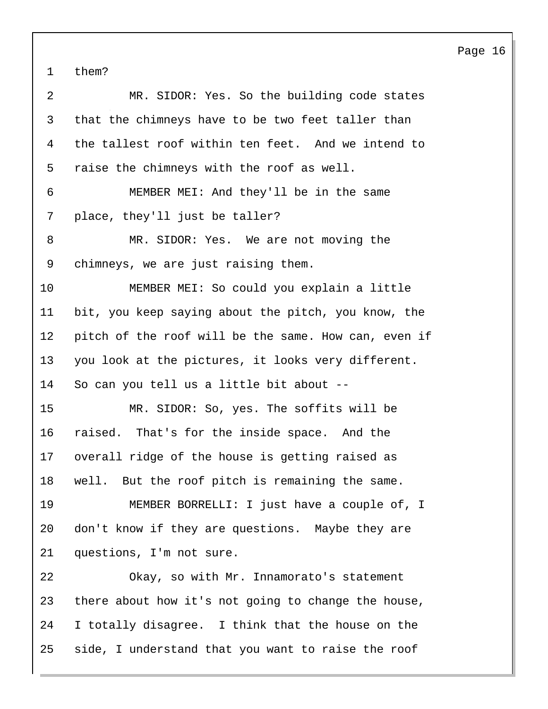them?

| $\overline{2}$ | MR. SIDOR: Yes. So the building code states          |
|----------------|------------------------------------------------------|
| $\mathsf{3}$   | that the chimneys have to be two feet taller than    |
| 4              | the tallest roof within ten feet. And we intend to   |
| 5              | raise the chimneys with the roof as well.            |
| 6              | MEMBER MEI: And they'll be in the same               |
| 7              | place, they'll just be taller?                       |
| 8              | MR. SIDOR: Yes. We are not moving the                |
| 9              | chimneys, we are just raising them.                  |
| 10             | MEMBER MEI: So could you explain a little            |
| 11             | bit, you keep saying about the pitch, you know, the  |
| 12             | pitch of the roof will be the same. How can, even if |
| 13             | you look at the pictures, it looks very different.   |
| 14             | So can you tell us a little bit about --             |
| 15             | MR. SIDOR: So, yes. The soffits will be              |
| 16             | raised. That's for the inside space. And the         |
| 17             | overall ridge of the house is getting raised as      |
| 18             | well. But the roof pitch is remaining the same.      |
| 19             | MEMBER BORRELLI: I just have a couple of, I          |
| 20             | don't know if they are questions. Maybe they are     |
| 21             | questions, I'm not sure.                             |
| 22             | Okay, so with Mr. Innamorato's statement             |
| 23             | there about how it's not going to change the house,  |
| 24             | I totally disagree. I think that the house on the    |
| 25             | side, I understand that you want to raise the roof   |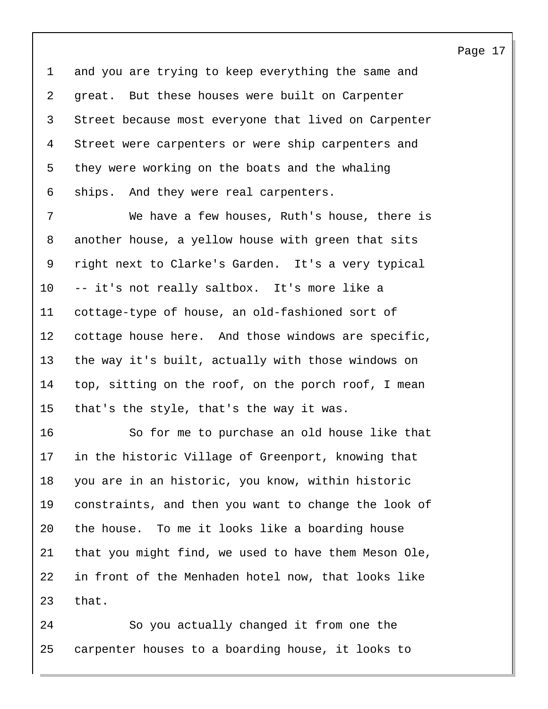and you are trying to keep everything the same and great. But these houses were built on Carpenter Street because most everyone that lived on Carpenter Street were carpenters or were ship carpenters and they were working on the boats and the whaling ships. And they were real carpenters.

7 We have a few houses, Ruth's house, there is another house, a yellow house with green that sits right next to Clarke's Garden. It's a very typical -- it's not really saltbox. It's more like a cottage-type of house, an old-fashioned sort of cottage house here. And those windows are specific, the way it's built, actually with those windows on top, sitting on the roof, on the porch roof, I mean that's the style, that's the way it was.

16 So for me to purchase an old house like that in the historic Village of Greenport, knowing that you are in an historic, you know, within historic constraints, and then you want to change the look of the house. To me it looks like a boarding house that you might find, we used to have them Meson Ole, in front of the Menhaden hotel now, that looks like that.

24 So you actually changed it from one the carpenter houses to a boarding house, it looks to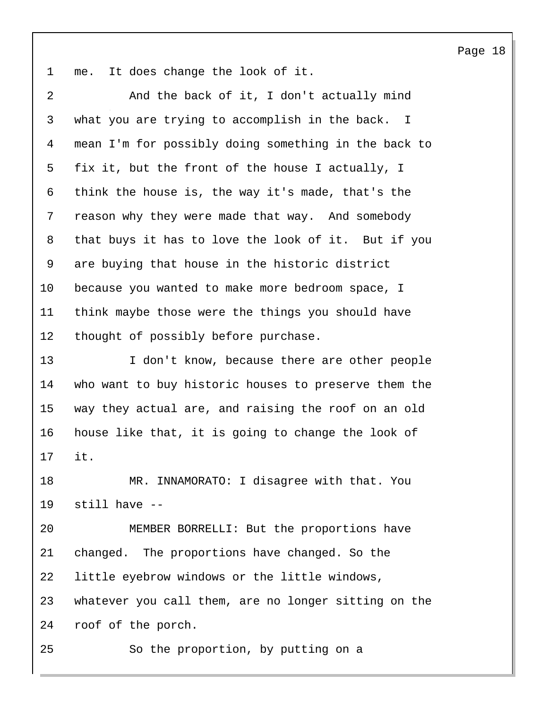me. It does change the look of it.

2 And the back of it, I don't actually mind what you are trying to accomplish in the back. I mean I'm for possibly doing something in the back to fix it, but the front of the house I actually, I think the house is, the way it's made, that's the reason why they were made that way. And somebody that buys it has to love the look of it. But if you are buying that house in the historic district because you wanted to make more bedroom space, I think maybe those were the things you should have thought of possibly before purchase.

13 I don't know, because there are other people who want to buy historic houses to preserve them the way they actual are, and raising the roof on an old house like that, it is going to change the look of it.

18 MR. INNAMORATO: I disagree with that. You still have --

20 MEMBER BORRELLI: But the proportions have changed. The proportions have changed. So the little eyebrow windows or the little windows, whatever you call them, are no longer sitting on the roof of the porch.

25 So the proportion, by putting on a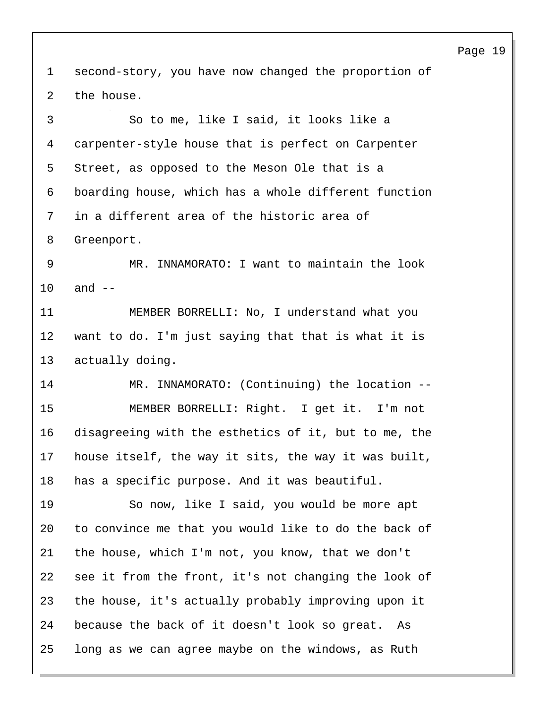second-story, you have now changed the proportion of the house. 3 So to me, like I said, it looks like a carpenter-style house that is perfect on Carpenter Street, as opposed to the Meson Ole that is a boarding house, which has a whole different function in a different area of the historic area of Greenport. 9 MR. INNAMORATO: I want to maintain the look and -- 11 MEMBER BORRELLI: No, I understand what you want to do. I'm just saying that that is what it is actually doing. 14 MR. INNAMORATO: (Continuing) the location -- 15 MEMBER BORRELLI: Right. I get it. I'm not disagreeing with the esthetics of it, but to me, the house itself, the way it sits, the way it was built, has a specific purpose. And it was beautiful. 19 So now, like I said, you would be more apt to convince me that you would like to do the back of the house, which I'm not, you know, that we don't see it from the front, it's not changing the look of the house, it's actually probably improving upon it because the back of it doesn't look so great. As long as we can agree maybe on the windows, as Ruth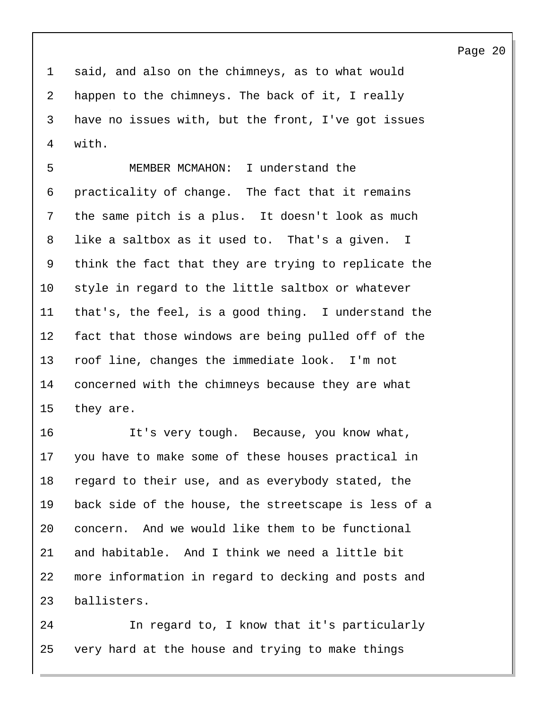said, and also on the chimneys, as to what would happen to the chimneys. The back of it, I really have no issues with, but the front, I've got issues with.

5 MEMBER MCMAHON: I understand the practicality of change. The fact that it remains the same pitch is a plus. It doesn't look as much like a saltbox as it used to. That's a given. I think the fact that they are trying to replicate the style in regard to the little saltbox or whatever that's, the feel, is a good thing. I understand the fact that those windows are being pulled off of the roof line, changes the immediate look. I'm not concerned with the chimneys because they are what they are.

16 It's very tough. Because, you know what, you have to make some of these houses practical in regard to their use, and as everybody stated, the back side of the house, the streetscape is less of a concern. And we would like them to be functional and habitable. And I think we need a little bit more information in regard to decking and posts and ballisters.

24 In regard to, I know that it's particularly very hard at the house and trying to make things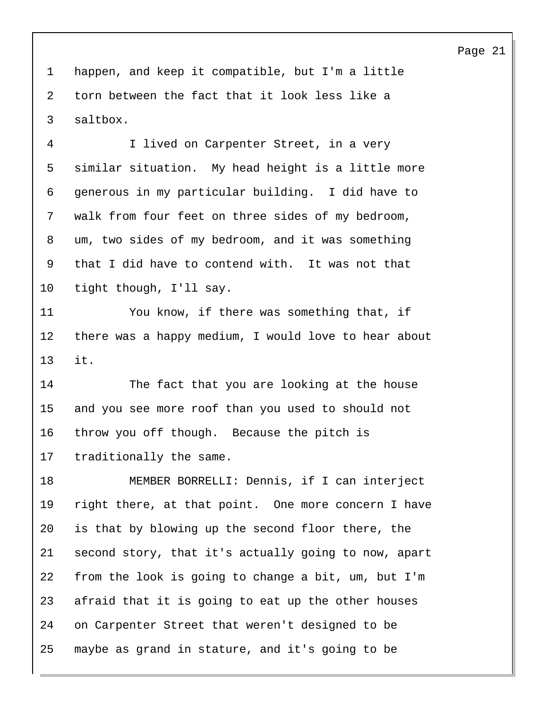happen, and keep it compatible, but I'm a little torn between the fact that it look less like a saltbox.

4 I lived on Carpenter Street, in a very similar situation. My head height is a little more generous in my particular building. I did have to walk from four feet on three sides of my bedroom, um, two sides of my bedroom, and it was something that I did have to contend with. It was not that tight though, I'll say.

11 You know, if there was something that, if there was a happy medium, I would love to hear about it.

14 The fact that you are looking at the house and you see more roof than you used to should not throw you off though. Because the pitch is traditionally the same.

18 MEMBER BORRELLI: Dennis, if I can interject right there, at that point. One more concern I have is that by blowing up the second floor there, the second story, that it's actually going to now, apart from the look is going to change a bit, um, but I'm afraid that it is going to eat up the other houses on Carpenter Street that weren't designed to be maybe as grand in stature, and it's going to be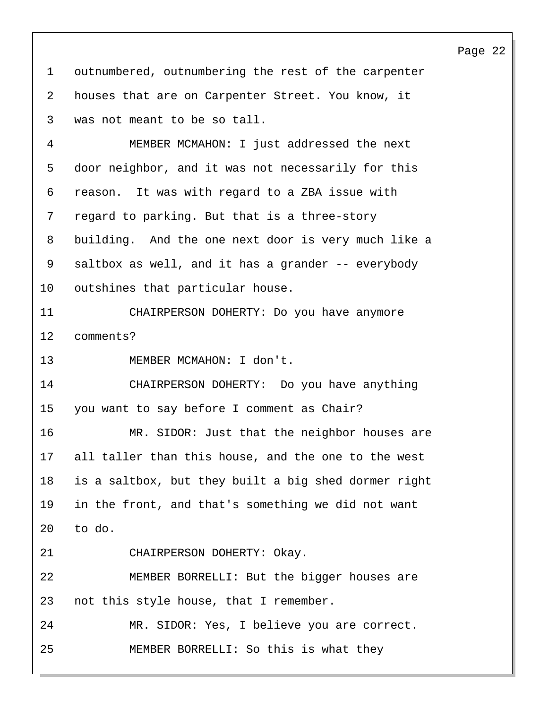outnumbered, outnumbering the rest of the carpenter houses that are on Carpenter Street. You know, it was not meant to be so tall. 4 MEMBER MCMAHON: I just addressed the next door neighbor, and it was not necessarily for this reason. It was with regard to a ZBA issue with regard to parking. But that is a three-story building. And the one next door is very much like a saltbox as well, and it has a grander -- everybody outshines that particular house. 11 CHAIRPERSON DOHERTY: Do you have anymore comments? 13 MEMBER MCMAHON: I don't. 14 CHAIRPERSON DOHERTY: Do you have anything you want to say before I comment as Chair? 16 MR. SIDOR: Just that the neighbor houses are all taller than this house, and the one to the west is a saltbox, but they built a big shed dormer right in the front, and that's something we did not want to do. 21 CHAIRPERSON DOHERTY: Okay. 22 MEMBER BORRELLI: But the bigger houses are not this style house, that I remember. 24 MR. SIDOR: Yes, I believe you are correct. 25 MEMBER BORRELLI: So this is what they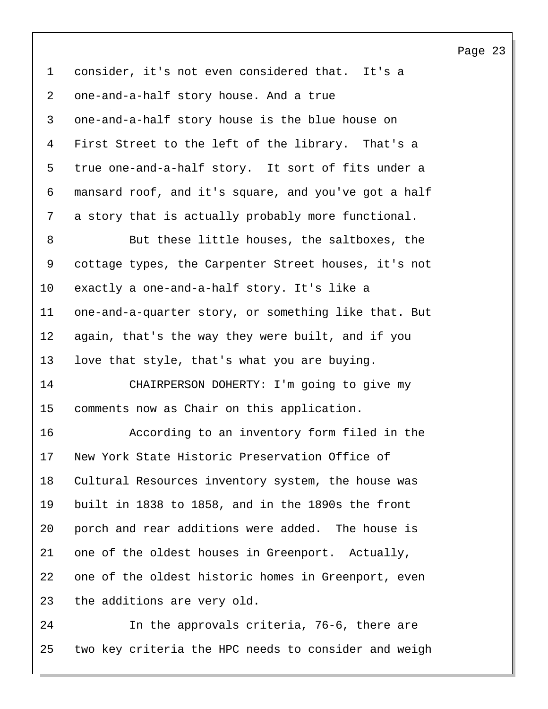consider, it's not even considered that. It's a one-and-a-half story house. And a true one-and-a-half story house is the blue house on First Street to the left of the library. That's a true one-and-a-half story. It sort of fits under a mansard roof, and it's square, and you've got a half a story that is actually probably more functional. 8 But these little houses, the saltboxes, the

 cottage types, the Carpenter Street houses, it's not exactly a one-and-a-half story. It's like a one-and-a-quarter story, or something like that. But again, that's the way they were built, and if you love that style, that's what you are buying.

14 CHAIRPERSON DOHERTY: I'm going to give my comments now as Chair on this application.

16 According to an inventory form filed in the New York State Historic Preservation Office of Cultural Resources inventory system, the house was built in 1838 to 1858, and in the 1890s the front porch and rear additions were added. The house is one of the oldest houses in Greenport. Actually, one of the oldest historic homes in Greenport, even the additions are very old.

24 In the approvals criteria, 76-6, there are two key criteria the HPC needs to consider and weigh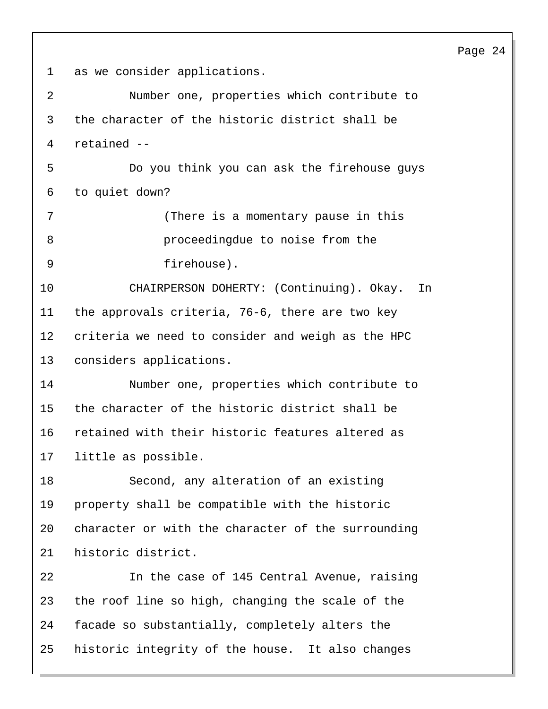as we consider applications.

| 2  | Number one, properties which contribute to         |
|----|----------------------------------------------------|
| 3  | the character of the historic district shall be    |
| 4  | retained --                                        |
| 5  | Do you think you can ask the firehouse guys        |
| 6  | to quiet down?                                     |
| 7  | (There is a momentary pause in this                |
| 8  | proceedingdue to noise from the                    |
| 9  | firehouse).                                        |
| 10 | CHAIRPERSON DOHERTY: (Continuing). Okay.<br>In     |
| 11 | the approvals criteria, 76-6, there are two key    |
| 12 | criteria we need to consider and weigh as the HPC  |
| 13 | considers applications.                            |
| 14 | Number one, properties which contribute to         |
| 15 | the character of the historic district shall be    |
| 16 | retained with their historic features altered as   |
| 17 | little as possible.                                |
| 18 | Second, any alteration of an existing              |
| 19 | property shall be compatible with the historic     |
| 20 | character or with the character of the surrounding |
| 21 | historic district.                                 |
| 22 | In the case of 145 Central Avenue, raising         |
| 23 | the roof line so high, changing the scale of the   |
| 24 | facade so substantially, completely alters the     |
| 25 | historic integrity of the house. It also changes   |
|    |                                                    |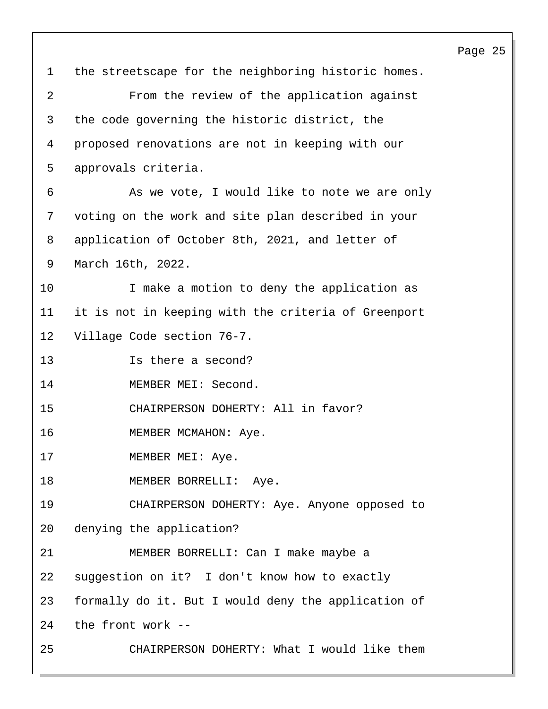1 the streetscape for the neighboring historic homes. 2 From the review of the application against 3 the code governing the historic district, the 4 proposed renovations are not in keeping with our 5 approvals criteria. 6 As we vote, I would like to note we are only 7 voting on the work and site plan described in your 8 application of October 8th, 2021, and letter of 9 March 16th, 2022. 10 I make a motion to deny the application as 11 it is not in keeping with the criteria of Greenport 12 Village Code section 76-7. 13 Is there a second? 14 MEMBER MEI: Second. 15 CHAIRPERSON DOHERTY: All in favor? 16 MEMBER MCMAHON: Aye. 17 MEMBER MEI: Aye. 18 MEMBER BORRELLI: Aye. 19 CHAIRPERSON DOHERTY: Aye. Anyone opposed to 20 denying the application? 21 MEMBER BORRELLI: Can I make maybe a 22 suggestion on it? I don't know how to exactly 23 formally do it. But I would deny the application of 24 the front work -- 25 CHAIRPERSON DOHERTY: What I would like them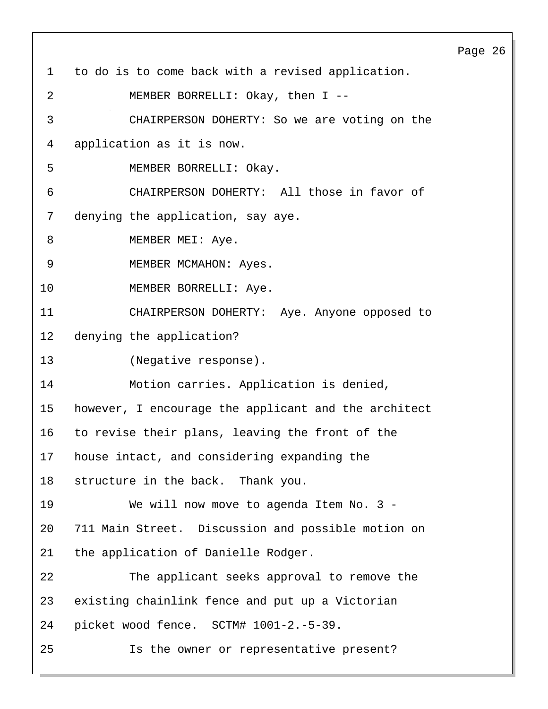Page 26 1 to do is to come back with a revised application. 2 MEMBER BORRELLI: Okay, then I -- 3 CHAIRPERSON DOHERTY: So we are voting on the 4 application as it is now. 5 MEMBER BORRELLI: Okay. 6 CHAIRPERSON DOHERTY: All those in favor of 7 denying the application, say aye. 8 MEMBER MEI: Aye. 9 MEMBER MCMAHON: Ayes. 10 MEMBER BORRELLI: Aye. 11 CHAIRPERSON DOHERTY: Aye. Anyone opposed to 12 denying the application? 13 (Negative response). 14 Motion carries. Application is denied, 15 however, I encourage the applicant and the architect 16 to revise their plans, leaving the front of the 17 house intact, and considering expanding the 18 structure in the back. Thank you. 19 We will now move to agenda Item No. 3 - 20 711 Main Street. Discussion and possible motion on 21 the application of Danielle Rodger. 22 The applicant seeks approval to remove the 23 existing chainlink fence and put up a Victorian 24 picket wood fence. SCTM# 1001-2.-5-39. 25 Is the owner or representative present?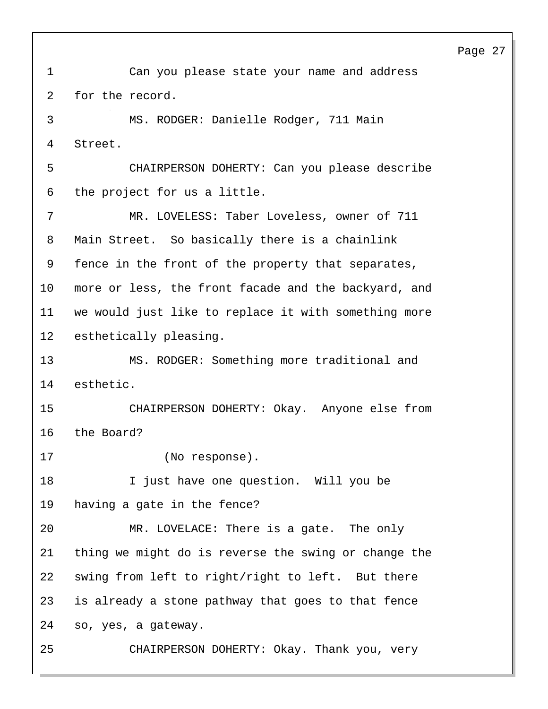1 Can you please state your name and address 2 for the record. 3 MS. RODGER: Danielle Rodger, 711 Main 4 Street. 5 CHAIRPERSON DOHERTY: Can you please describe 6 the project for us a little. 7 MR. LOVELESS: Taber Loveless, owner of 711 8 Main Street. So basically there is a chainlink 9 fence in the front of the property that separates, 10 more or less, the front facade and the backyard, and 11 we would just like to replace it with something more 12 esthetically pleasing. 13 MS. RODGER: Something more traditional and 14 esthetic. 15 CHAIRPERSON DOHERTY: Okay. Anyone else from 16 the Board? 17 (No response). 18 I just have one question. Will you be 19 having a gate in the fence? 20 MR. LOVELACE: There is a gate. The only 21 thing we might do is reverse the swing or change the 22 swing from left to right/right to left. But there 23 is already a stone pathway that goes to that fence 24 so, yes, a gateway. 25 CHAIRPERSON DOHERTY: Okay. Thank you, very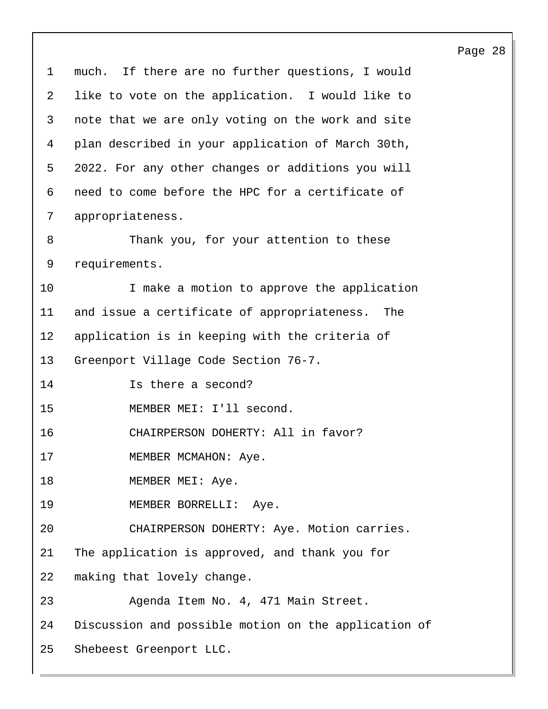1 much. If there are no further questions, I would 2 like to vote on the application. I would like to 3 note that we are only voting on the work and site 4 plan described in your application of March 30th, 5 2022. For any other changes or additions you will 6 need to come before the HPC for a certificate of 7 appropriateness. 8 Thank you, for your attention to these 9 requirements. 10 I make a motion to approve the application 11 and issue a certificate of appropriateness. The 12 application is in keeping with the criteria of 13 Greenport Village Code Section 76-7. 14 Is there a second? 15 MEMBER MEI: I'll second. 16 CHAIRPERSON DOHERTY: All in favor? 17 MEMBER MCMAHON: Aye. 18 MEMBER MEI: Aye. 19 MEMBER BORRELLI: Aye. 20 CHAIRPERSON DOHERTY: Aye. Motion carries. 21 The application is approved, and thank you for 22 making that lovely change. 23 Agenda Item No. 4, 471 Main Street. 24 Discussion and possible motion on the application of 25 Shebeest Greenport LLC.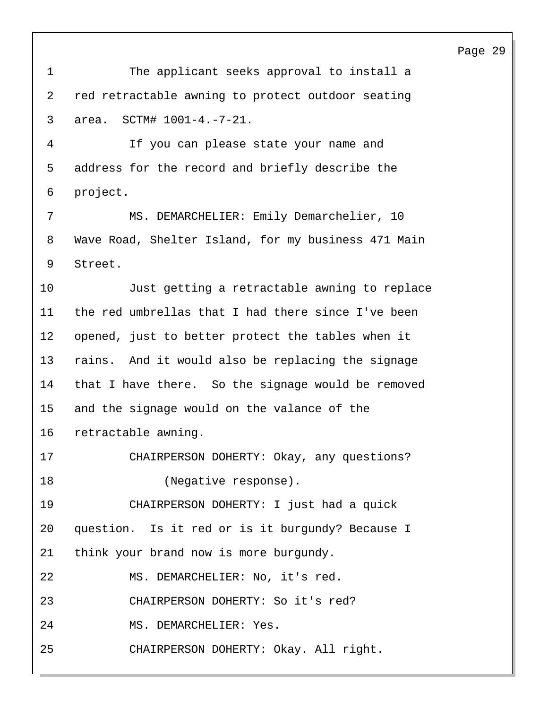1 The applicant seeks approval to install a 2 red retractable awning to protect outdoor seating 3 area. SCTM# 1001-4.-7-21.

4 If you can please state your name and 5 address for the record and briefly describe the 6 project.

7 MS. DEMARCHELIER: Emily Demarchelier, 10 8 Wave Road, Shelter Island, for my business 471 Main 9 Street.

10 Just getting a retractable awning to replace the red umbrellas that I had there since I've been opened, just to better protect the tables when it rains. And it would also be replacing the signage that I have there. So the signage would be removed and the signage would on the valance of the retractable awning.

17 CHAIRPERSON DOHERTY: Okay, any questions? 18 (Negative response).

19 CHAIRPERSON DOHERTY: I just had a quick 20 question. Is it red or is it burgundy? Because I 21 think your brand now is more burgundy.

22 MS. DEMARCHELIER: No, it's red.

23 CHAIRPERSON DOHERTY: So it's red?

24 MS. DEMARCHELIER: Yes.

25 CHAIRPERSON DOHERTY: Okay. All right.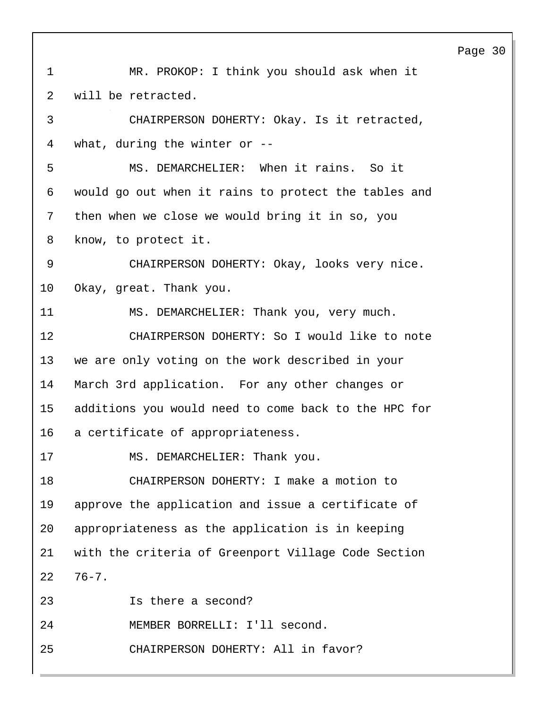Page 30 1 MR. PROKOP: I think you should ask when it 2 will be retracted. 3 CHAIRPERSON DOHERTY: Okay. Is it retracted, 4 what, during the winter or -- 5 MS. DEMARCHELIER: When it rains. So it 6 would go out when it rains to protect the tables and 7 then when we close we would bring it in so, you 8 know, to protect it. 9 CHAIRPERSON DOHERTY: Okay, looks very nice. 10 Okay, great. Thank you. 11 MS. DEMARCHELIER: Thank you, very much. 12 CHAIRPERSON DOHERTY: So I would like to note 13 we are only voting on the work described in your 14 March 3rd application. For any other changes or 15 additions you would need to come back to the HPC for 16 a certificate of appropriateness. 17 MS. DEMARCHELIER: Thank you. 18 CHAIRPERSON DOHERTY: I make a motion to 19 approve the application and issue a certificate of 20 appropriateness as the application is in keeping 21 with the criteria of Greenport Village Code Section 22 76-7. 23 Is there a second? 24 MEMBER BORRELLI: I'll second. 25 CHAIRPERSON DOHERTY: All in favor?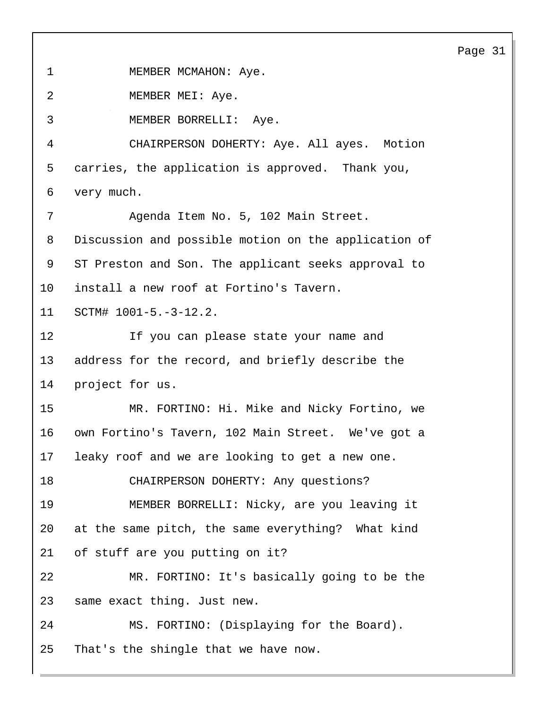1 MEMBER MCMAHON: Aye. 2 MEMBER MEI: Aye. 3 MEMBER BORRELLI: Aye. 4 CHAIRPERSON DOHERTY: Aye. All ayes. Motion 5 carries, the application is approved. Thank you, 6 very much. 7 Agenda Item No. 5, 102 Main Street. 8 Discussion and possible motion on the application of 9 ST Preston and Son. The applicant seeks approval to 10 install a new roof at Fortino's Tavern. 11 SCTM# 1001-5.-3-12.2. 12 If you can please state your name and 13 address for the record, and briefly describe the 14 project for us. 15 MR. FORTINO: Hi. Mike and Nicky Fortino, we 16 own Fortino's Tavern, 102 Main Street. We've got a 17 leaky roof and we are looking to get a new one. 18 CHAIRPERSON DOHERTY: Any questions? 19 MEMBER BORRELLI: Nicky, are you leaving it 20 at the same pitch, the same everything? What kind 21 of stuff are you putting on it? 22 MR. FORTINO: It's basically going to be the 23 same exact thing. Just new. 24 MS. FORTINO: (Displaying for the Board). 25 That's the shingle that we have now.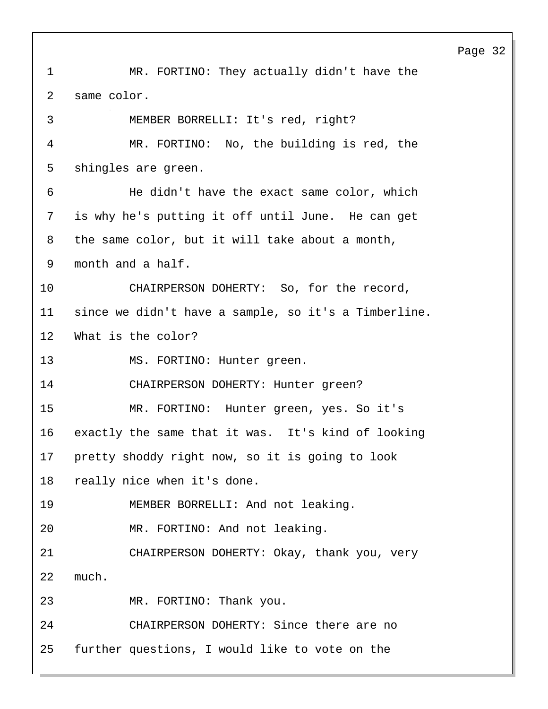1 MR. FORTINO: They actually didn't have the 2 same color. 3 MEMBER BORRELLI: It's red, right? 4 MR. FORTINO: No, the building is red, the 5 shingles are green. 6 He didn't have the exact same color, which 7 is why he's putting it off until June. He can get 8 the same color, but it will take about a month, 9 month and a half. 10 CHAIRPERSON DOHERTY: So, for the record, 11 since we didn't have a sample, so it's a Timberline. 12 What is the color? 13 MS. FORTINO: Hunter green. 14 CHAIRPERSON DOHERTY: Hunter green? 15 MR. FORTINO: Hunter green, yes. So it's 16 exactly the same that it was. It's kind of looking 17 pretty shoddy right now, so it is going to look 18 really nice when it's done. 19 MEMBER BORRELLI: And not leaking. 20 MR. FORTINO: And not leaking. 21 CHAIRPERSON DOHERTY: Okay, thank you, very 22 much. 23 MR. FORTINO: Thank you. 24 CHAIRPERSON DOHERTY: Since there are no 25 further questions, I would like to vote on the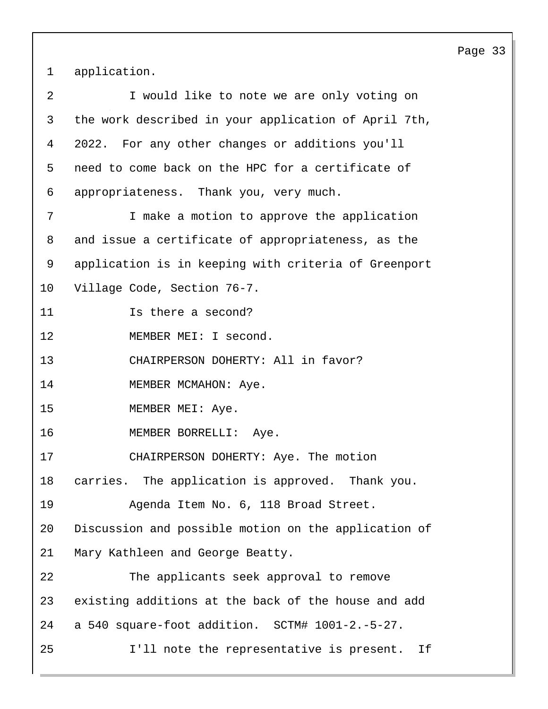1 application.

| 2  | I would like to note we are only voting on           |
|----|------------------------------------------------------|
| 3  | the work described in your application of April 7th, |
| 4  | 2022. For any other changes or additions you'll      |
| 5  | need to come back on the HPC for a certificate of    |
| 6  | appropriateness. Thank you, very much.               |
| 7  | I make a motion to approve the application           |
| 8  | and issue a certificate of appropriateness, as the   |
| 9  | application is in keeping with criteria of Greenport |
| 10 | Village Code, Section 76-7.                          |
| 11 | Is there a second?                                   |
| 12 | MEMBER MEI: I second.                                |
| 13 | CHAIRPERSON DOHERTY: All in favor?                   |
| 14 | MEMBER MCMAHON: Aye.                                 |
| 15 | MEMBER MEI: Aye.                                     |
| 16 | MEMBER BORRELLI: Aye.                                |
| 17 | CHAIRPERSON DOHERTY: Aye. The motion                 |
| 18 | carries. The application is approved. Thank you.     |
| 19 | Agenda Item No. 6, 118 Broad Street.                 |
| 20 | Discussion and possible motion on the application of |
| 21 | Mary Kathleen and George Beatty.                     |
| 22 | The applicants seek approval to remove               |
| 23 | existing additions at the back of the house and add  |
| 24 | a 540 square-foot addition. SCTM# 1001-2.-5-27.      |
| 25 | I'll note the representative is present.<br>If       |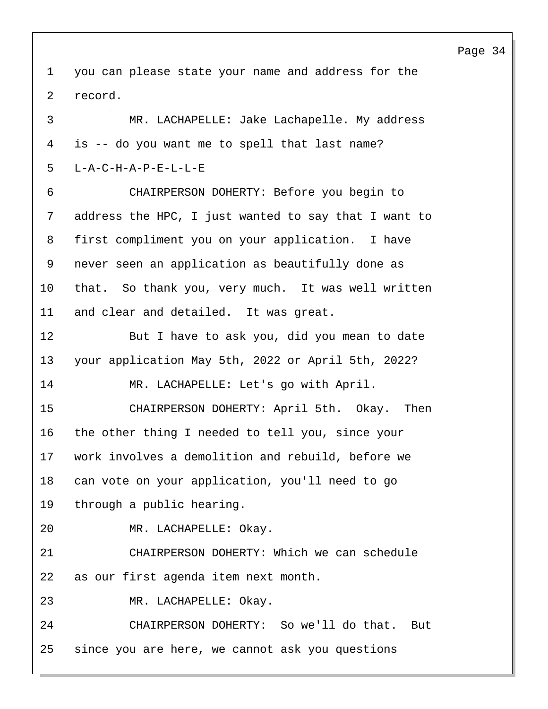you can please state your name and address for the record.

3 MR. LACHAPELLE: Jake Lachapelle. My address is -- do you want me to spell that last name? L-A-C-H-A-P-E-L-L-E 6 CHAIRPERSON DOHERTY: Before you begin to address the HPC, I just wanted to say that I want to first compliment you on your application. I have never seen an application as beautifully done as that. So thank you, very much. It was well written and clear and detailed. It was great. 12 But I have to ask you, did you mean to date your application May 5th, 2022 or April 5th, 2022? 14 MR. LACHAPELLE: Let's go with April. 15 CHAIRPERSON DOHERTY: April 5th. Okay. Then the other thing I needed to tell you, since your work involves a demolition and rebuild, before we can vote on your application, you'll need to go through a public hearing. 20 MR. LACHAPELLE: Okay. 21 CHAIRPERSON DOHERTY: Which we can schedule as our first agenda item next month. 23 MR. LACHAPELLE: Okay. 24 CHAIRPERSON DOHERTY: So we'll do that. But since you are here, we cannot ask you questions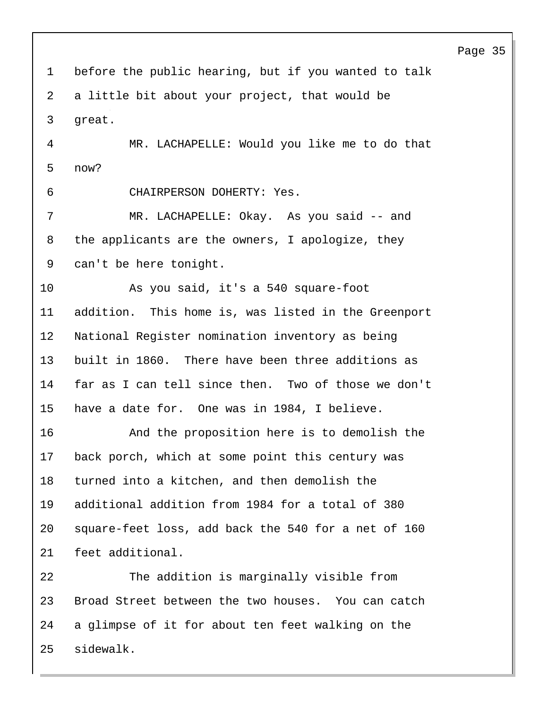Page 35 before the public hearing, but if you wanted to talk a little bit about your project, that would be great. 4 MR. LACHAPELLE: Would you like me to do that now? 6 CHAIRPERSON DOHERTY: Yes. 7 MR. LACHAPELLE: Okay. As you said -- and the applicants are the owners, I apologize, they can't be here tonight. 10 As you said, it's a 540 square-foot addition. This home is, was listed in the Greenport National Register nomination inventory as being built in 1860. There have been three additions as far as I can tell since then. Two of those we don't have a date for. One was in 1984, I believe. 16 And the proposition here is to demolish the back porch, which at some point this century was turned into a kitchen, and then demolish the additional addition from 1984 for a total of 380 square-feet loss, add back the 540 for a net of 160 feet additional. 22 The addition is marginally visible from Broad Street between the two houses. You can catch a glimpse of it for about ten feet walking on the sidewalk.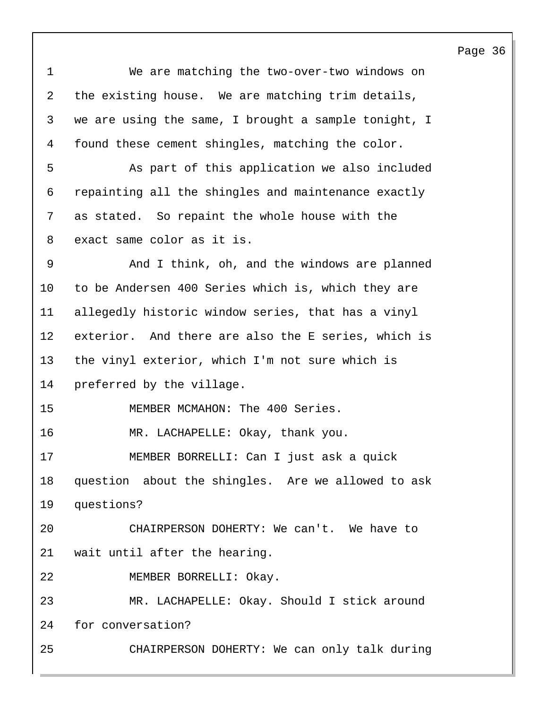1 We are matching the two-over-two windows on 2 the existing house. We are matching trim details, 3 we are using the same, I brought a sample tonight, I 4 found these cement shingles, matching the color. 5 As part of this application we also included 6 repainting all the shingles and maintenance exactly 7 as stated. So repaint the whole house with the 8 exact same color as it is. 9 And I think, oh, and the windows are planned 10 to be Andersen 400 Series which is, which they are 11 allegedly historic window series, that has a vinyl 12 exterior. And there are also the E series, which is 13 the vinyl exterior, which I'm not sure which is 14 preferred by the village. 15 MEMBER MCMAHON: The 400 Series. 16 MR. LACHAPELLE: Okay, thank you. 17 MEMBER BORRELLI: Can I just ask a quick 18 question about the shingles. Are we allowed to ask 19 questions? 20 CHAIRPERSON DOHERTY: We can't. We have to 21 wait until after the hearing. 22 MEMBER BORRELLI: Okay. 23 MR. LACHAPELLE: Okay. Should I stick around 24 for conversation? 25 CHAIRPERSON DOHERTY: We can only talk during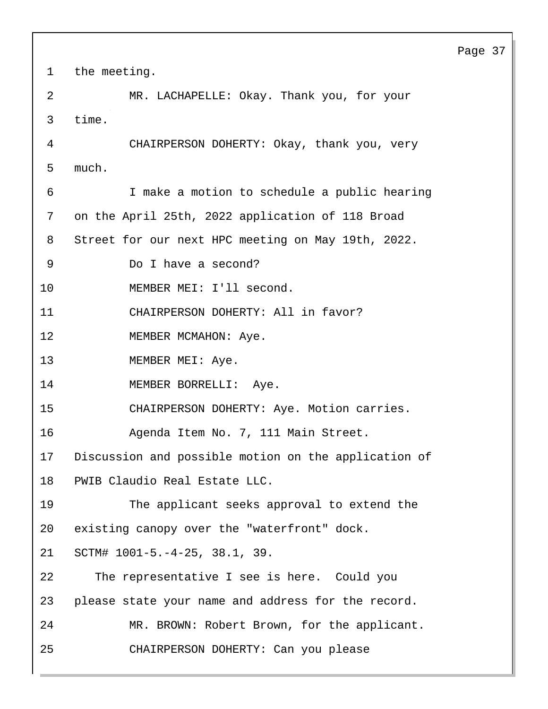Page 37 1 the meeting. 2 MR. LACHAPELLE: Okay. Thank you, for your 3 time. 4 CHAIRPERSON DOHERTY: Okay, thank you, very 5 much. 6 I make a motion to schedule a public hearing 7 on the April 25th, 2022 application of 118 Broad 8 Street for our next HPC meeting on May 19th, 2022. 9 Do I have a second? 10 MEMBER MEI: I'll second. 11 CHAIRPERSON DOHERTY: All in favor? 12 MEMBER MCMAHON: Aye. 13 MEMBER MEI: Aye. 14 MEMBER BORRELLI: Aye. 15 CHAIRPERSON DOHERTY: Aye. Motion carries. 16 Agenda Item No. 7, 111 Main Street. 17 Discussion and possible motion on the application of 18 PWIB Claudio Real Estate LLC. 19 The applicant seeks approval to extend the 20 existing canopy over the "waterfront" dock. 21 SCTM# 1001-5.-4-25, 38.1, 39. 22 The representative I see is here. Could you 23 please state your name and address for the record. 24 MR. BROWN: Robert Brown, for the applicant. 25 CHAIRPERSON DOHERTY: Can you please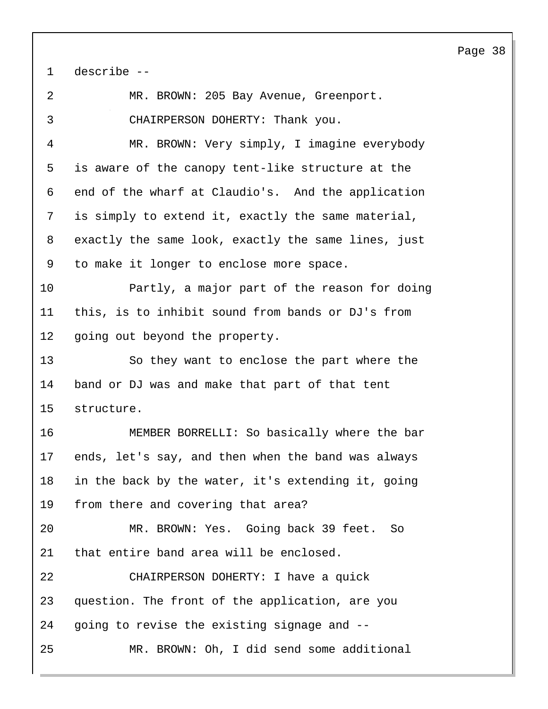| 1  | describe --                                         |
|----|-----------------------------------------------------|
| 2  | MR. BROWN: 205 Bay Avenue, Greenport.               |
| 3  | CHAIRPERSON DOHERTY: Thank you.                     |
| 4  | MR. BROWN: Very simply, I imagine everybody         |
| 5  | is aware of the canopy tent-like structure at the   |
| 6  | end of the wharf at Claudio's. And the application  |
| 7  | is simply to extend it, exactly the same material,  |
| 8  | exactly the same look, exactly the same lines, just |
| 9  | to make it longer to enclose more space.            |
| 10 | Partly, a major part of the reason for doing        |
| 11 | this, is to inhibit sound from bands or DJ's from   |
| 12 | going out beyond the property.                      |
| 13 | So they want to enclose the part where the          |
| 14 | band or DJ was and make that part of that tent      |
| 15 | structure.                                          |
| 16 | MEMBER BORRELLI: So basically where the bar         |
| 17 | ends, let's say, and then when the band was always  |
| 18 | in the back by the water, it's extending it, going  |
| 19 | from there and covering that area?                  |
| 20 | MR. BROWN: Yes. Going back 39 feet. So              |
| 21 | that entire band area will be enclosed.             |
| 22 | CHAIRPERSON DOHERTY: I have a quick                 |
| 23 | question. The front of the application, are you     |
| 24 | going to revise the existing signage and --         |
| 25 | MR. BROWN: Oh, I did send some additional           |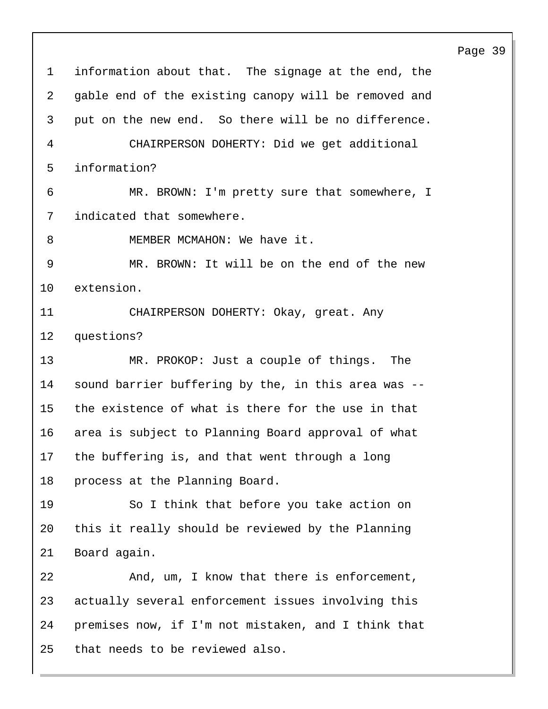information about that. The signage at the end, the gable end of the existing canopy will be removed and put on the new end. So there will be no difference. 4 CHAIRPERSON DOHERTY: Did we get additional information? 6 MR. BROWN: I'm pretty sure that somewhere, I indicated that somewhere. 8 MEMBER MCMAHON: We have it. 9 MR. BROWN: It will be on the end of the new extension. 11 CHAIRPERSON DOHERTY: Okay, great. Any questions? 13 MR. PROKOP: Just a couple of things. The sound barrier buffering by the, in this area was -- the existence of what is there for the use in that area is subject to Planning Board approval of what the buffering is, and that went through a long process at the Planning Board. 19 So I think that before you take action on this it really should be reviewed by the Planning Board again. 22 And, um, I know that there is enforcement, actually several enforcement issues involving this premises now, if I'm not mistaken, and I think that that needs to be reviewed also.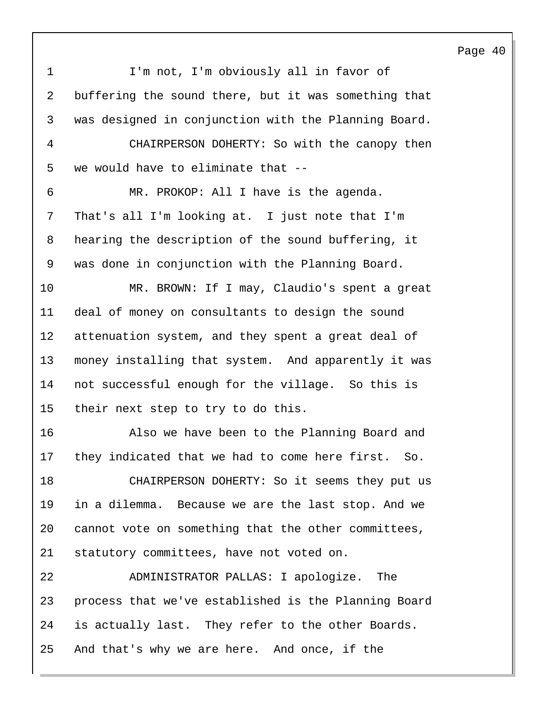Page 40 1 I'm not, I'm obviously all in favor of buffering the sound there, but it was something that was designed in conjunction with the Planning Board. 4 CHAIRPERSON DOHERTY: So with the canopy then we would have to eliminate that -- 6 MR. PROKOP: All I have is the agenda. That's all I'm looking at. I just note that I'm hearing the description of the sound buffering, it was done in conjunction with the Planning Board. 10 MR. BROWN: If I may, Claudio's spent a great deal of money on consultants to design the sound attenuation system, and they spent a great deal of money installing that system. And apparently it was not successful enough for the village. So this is their next step to try to do this. 16 Also we have been to the Planning Board and they indicated that we had to come here first. So. 18 CHAIRPERSON DOHERTY: So it seems they put us in a dilemma. Because we are the last stop. And we cannot vote on something that the other committees, statutory committees, have not voted on. 22 ADMINISTRATOR PALLAS: I apologize. The process that we've established is the Planning Board is actually last. They refer to the other Boards. And that's why we are here. And once, if the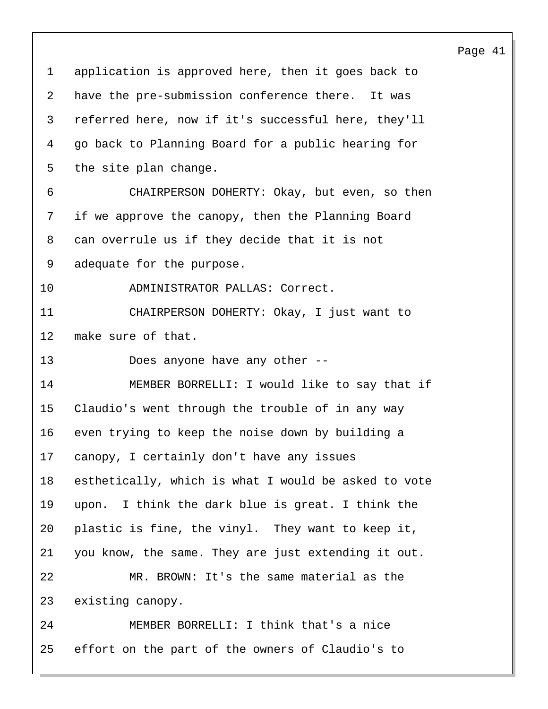application is approved here, then it goes back to have the pre-submission conference there. It was referred here, now if it's successful here, they'll go back to Planning Board for a public hearing for the site plan change. 6 CHAIRPERSON DOHERTY: Okay, but even, so then if we approve the canopy, then the Planning Board can overrule us if they decide that it is not adequate for the purpose. 10 ADMINISTRATOR PALLAS: Correct. 11 CHAIRPERSON DOHERTY: Okay, I just want to make sure of that. 13 Does anyone have any other -- 14 MEMBER BORRELLI: I would like to say that if Claudio's went through the trouble of in any way even trying to keep the noise down by building a canopy, I certainly don't have any issues esthetically, which is what I would be asked to vote upon. I think the dark blue is great. I think the plastic is fine, the vinyl. They want to keep it, you know, the same. They are just extending it out. 22 MR. BROWN: It's the same material as the existing canopy. 24 MEMBER BORRELLI: I think that's a nice effort on the part of the owners of Claudio's to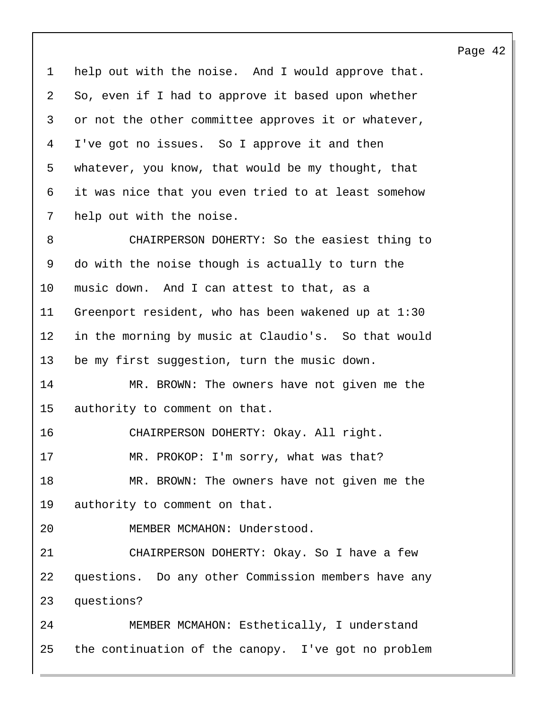help out with the noise. And I would approve that. So, even if I had to approve it based upon whether or not the other committee approves it or whatever, I've got no issues. So I approve it and then whatever, you know, that would be my thought, that it was nice that you even tried to at least somehow help out with the noise.

8 CHAIRPERSON DOHERTY: So the easiest thing to do with the noise though is actually to turn the music down. And I can attest to that, as a Greenport resident, who has been wakened up at 1:30 in the morning by music at Claudio's. So that would be my first suggestion, turn the music down.

14 MR. BROWN: The owners have not given me the authority to comment on that.

16 CHAIRPERSON DOHERTY: Okay. All right.

17 MR. PROKOP: I'm sorry, what was that?

18 MR. BROWN: The owners have not given me the authority to comment on that.

20 MEMBER MCMAHON: Understood.

21 CHAIRPERSON DOHERTY: Okay. So I have a few questions. Do any other Commission members have any questions?

24 MEMBER MCMAHON: Esthetically, I understand the continuation of the canopy. I've got no problem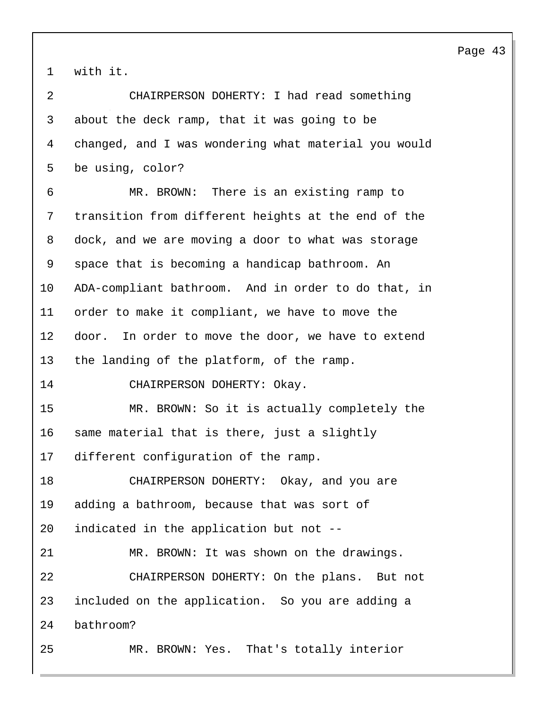with it.

| 2  | CHAIRPERSON DOHERTY: I had read something            |
|----|------------------------------------------------------|
| 3  | about the deck ramp, that it was going to be         |
| 4  | changed, and I was wondering what material you would |
| 5  | be using, color?                                     |
| 6  | MR. BROWN: There is an existing ramp to              |
| 7  | transition from different heights at the end of the  |
| 8  | dock, and we are moving a door to what was storage   |
| 9  | space that is becoming a handicap bathroom. An       |
| 10 | ADA-compliant bathroom. And in order to do that, in  |
| 11 | order to make it compliant, we have to move the      |
| 12 | door. In order to move the door, we have to extend   |
| 13 | the landing of the platform, of the ramp.            |
| 14 | CHAIRPERSON DOHERTY: Okay.                           |
| 15 | MR. BROWN: So it is actually completely the          |
| 16 | same material that is there, just a slightly         |
| 17 | different configuration of the ramp.                 |
| 18 | CHAIRPERSON DOHERTY: Okay, and you are               |
| 19 | adding a bathroom, because that was sort of          |
| 20 | indicated in the application but not --              |
| 21 | MR. BROWN: It was shown on the drawings.             |
| 22 | CHAIRPERSON DOHERTY: On the plans. But not           |
| 23 | included on the application. So you are adding a     |
| 24 | bathroom?                                            |
| 25 | MR. BROWN: Yes. That's totally interior              |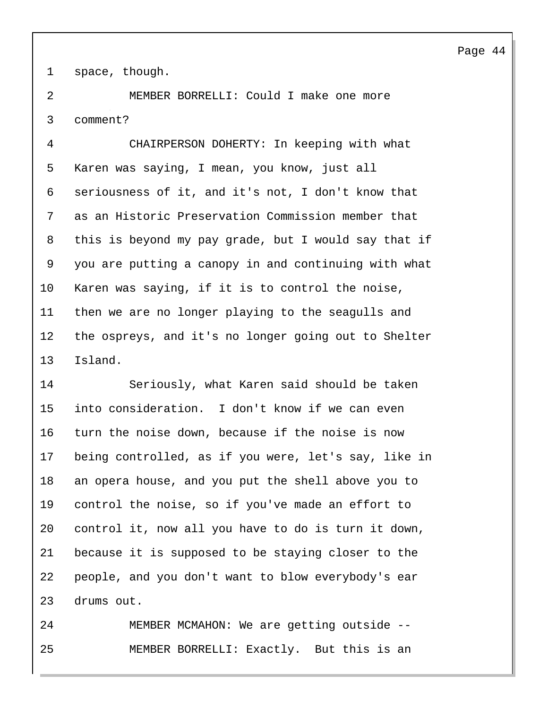space, though.

2 MEMBER BORRELLI: Could I make one more comment?

4 CHAIRPERSON DOHERTY: In keeping with what Karen was saying, I mean, you know, just all seriousness of it, and it's not, I don't know that as an Historic Preservation Commission member that this is beyond my pay grade, but I would say that if you are putting a canopy in and continuing with what Karen was saying, if it is to control the noise, then we are no longer playing to the seagulls and the ospreys, and it's no longer going out to Shelter Island.

14 Seriously, what Karen said should be taken into consideration. I don't know if we can even turn the noise down, because if the noise is now being controlled, as if you were, let's say, like in an opera house, and you put the shell above you to control the noise, so if you've made an effort to control it, now all you have to do is turn it down, because it is supposed to be staying closer to the people, and you don't want to blow everybody's ear drums out.

24 MEMBER MCMAHON: We are getting outside -- 25 MEMBER BORRELLI: Exactly. But this is an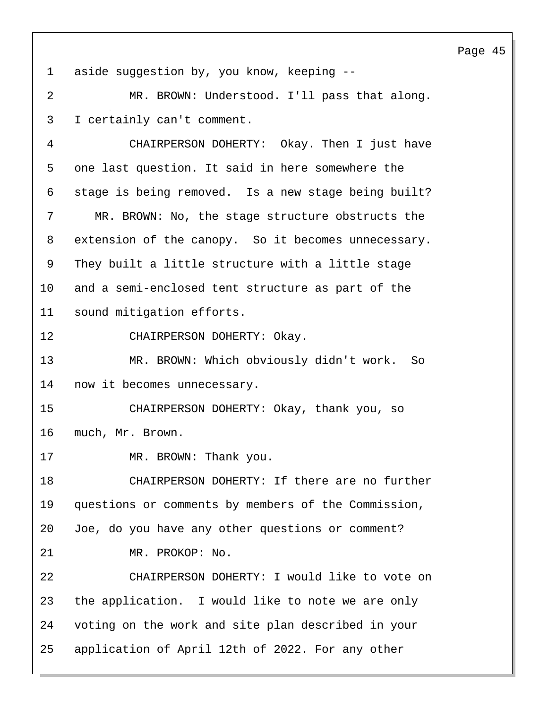1 aside suggestion by, you know, keeping --

2 MR. BROWN: Understood. I'll pass that along. 3 I certainly can't comment.

4 CHAIRPERSON DOHERTY: Okay. Then I just have one last question. It said in here somewhere the stage is being removed. Is a new stage being built? 7 MR. BROWN: No, the stage structure obstructs the extension of the canopy. So it becomes unnecessary. They built a little structure with a little stage and a semi-enclosed tent structure as part of the sound mitigation efforts.

12 CHAIRPERSON DOHERTY: Okay.

13 MR. BROWN: Which obviously didn't work. So 14 now it becomes unnecessary.

15 CHAIRPERSON DOHERTY: Okay, thank you, so 16 much, Mr. Brown.

17 MR. BROWN: Thank you.

18 CHAIRPERSON DOHERTY: If there are no further 19 questions or comments by members of the Commission, 20 Joe, do you have any other questions or comment? 21 MR. PROKOP: No.

22 CHAIRPERSON DOHERTY: I would like to vote on the application. I would like to note we are only voting on the work and site plan described in your application of April 12th of 2022. For any other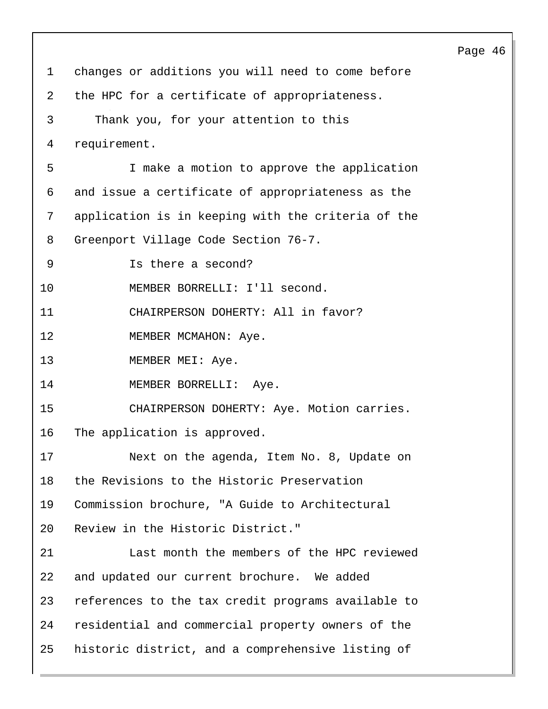|             |                                                    | Page 46 |  |
|-------------|----------------------------------------------------|---------|--|
| $\mathbf 1$ | changes or additions you will need to come before  |         |  |
| 2           | the HPC for a certificate of appropriateness.      |         |  |
| 3           | Thank you, for your attention to this              |         |  |
| 4           | requirement.                                       |         |  |
| 5           | I make a motion to approve the application         |         |  |
| 6           | and issue a certificate of appropriateness as the  |         |  |
| 7           | application is in keeping with the criteria of the |         |  |
| 8           | Greenport Village Code Section 76-7.               |         |  |
| 9           | Is there a second?                                 |         |  |
| 10          | MEMBER BORRELLI: I'll second.                      |         |  |
| 11          | CHAIRPERSON DOHERTY: All in favor?                 |         |  |
| 12          | MEMBER MCMAHON: Aye.                               |         |  |
| 13          | MEMBER MEI: Aye.                                   |         |  |
| 14          | MEMBER BORRELLI: Aye.                              |         |  |
| 15          | CHAIRPERSON DOHERTY: Aye. Motion carries.          |         |  |
| 16          | The application is approved.                       |         |  |
| 17          | Next on the agenda, Item No. 8, Update on          |         |  |
| 18          | the Revisions to the Historic Preservation         |         |  |
| 19          | Commission brochure, "A Guide to Architectural     |         |  |
| 20          | Review in the Historic District."                  |         |  |
| 21          | Last month the members of the HPC reviewed         |         |  |
| 22          | and updated our current brochure. We added         |         |  |
| 23          | references to the tax credit programs available to |         |  |
| 24          | residential and commercial property owners of the  |         |  |
| 25          | historic district, and a comprehensive listing of  |         |  |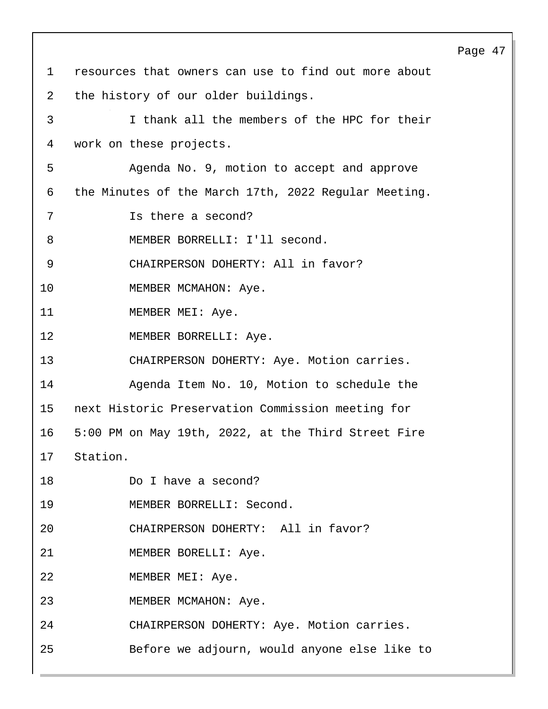Page 47 1 resources that owners can use to find out more about 2 the history of our older buildings. 3 I thank all the members of the HPC for their 4 work on these projects. 5 Agenda No. 9, motion to accept and approve 6 the Minutes of the March 17th, 2022 Regular Meeting. 7 Is there a second? 8 MEMBER BORRELLI: I'll second. 9 CHAIRPERSON DOHERTY: All in favor? 10 MEMBER MCMAHON: Aye. 11 MEMBER MEI: Aye. 12 MEMBER BORRELLI: Aye. 13 CHAIRPERSON DOHERTY: Aye. Motion carries. 14 Agenda Item No. 10, Motion to schedule the 15 next Historic Preservation Commission meeting for 16 5:00 PM on May 19th, 2022, at the Third Street Fire 17 Station. 18 Do I have a second? 19 MEMBER BORRELLI: Second. 20 CHAIRPERSON DOHERTY: All in favor? 21 MEMBER BORELLI: Aye. 22 MEMBER MEI: Aye. 23 MEMBER MCMAHON: Aye. 24 CHAIRPERSON DOHERTY: Aye. Motion carries. 25 Before we adjourn, would anyone else like to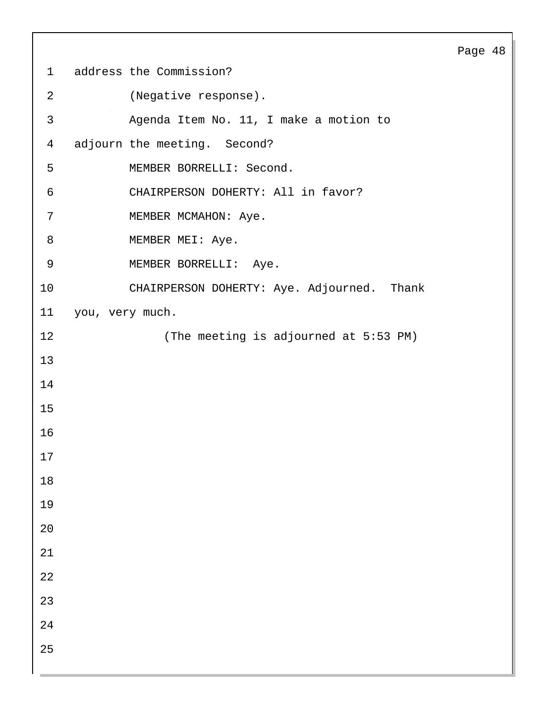# address the Commission? 2 (Negative response). 3 Agenda Item No. 11, I make a motion to adjourn the meeting. Second? 5 MEMBER BORRELLI: Second. 6 CHAIRPERSON DOHERTY: All in favor? 7 MEMBER MCMAHON: Aye. 8 MEMBER MEI: Aye. 9 MEMBER BORRELLI: Aye. 10 CHAIRPERSON DOHERTY: Aye. Adjourned. Thank you, very much. 12 (The meeting is adjourned at 5:53 PM)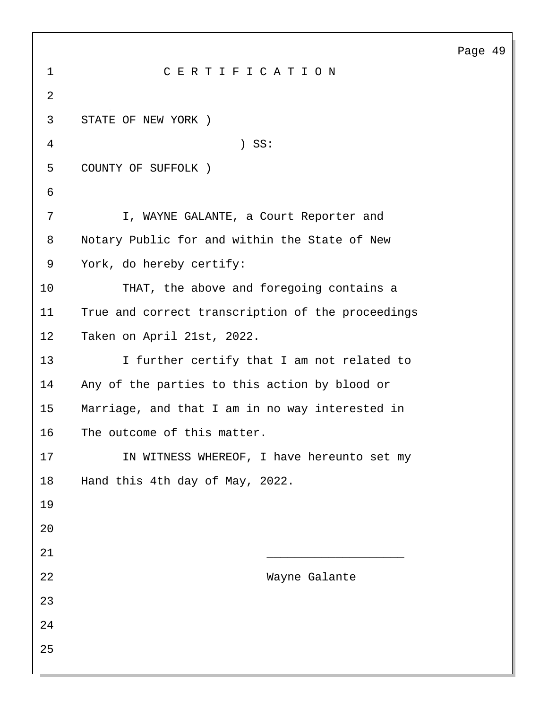| $\mathbf 1$    | CERTIFICATION                                     |
|----------------|---------------------------------------------------|
| $\overline{2}$ |                                                   |
| 3              | STATE OF NEW YORK )                               |
| 4              | $)$ SS:                                           |
| 5              | COUNTY OF SUFFOLK )                               |
| 6              |                                                   |
| 7              | I, WAYNE GALANTE, a Court Reporter and            |
| 8              | Notary Public for and within the State of New     |
| 9              | York, do hereby certify:                          |
| 10             | THAT, the above and foregoing contains a          |
| 11             | True and correct transcription of the proceedings |
| 12             | Taken on April 21st, 2022.                        |
| 13             | I further certify that I am not related to        |
| 14             | Any of the parties to this action by blood or     |
| 15             | Marriage, and that I am in no way interested in   |
| 16             | The outcome of this matter.                       |
| 17             | IN WITNESS WHEREOF, I have hereunto set my        |
| 18             | Hand this 4th day of May, 2022.                   |
| 19             |                                                   |
| 20             |                                                   |
| 21             |                                                   |
| 22             | Wayne Galante                                     |
| 23             |                                                   |
| 24             |                                                   |
| 25             |                                                   |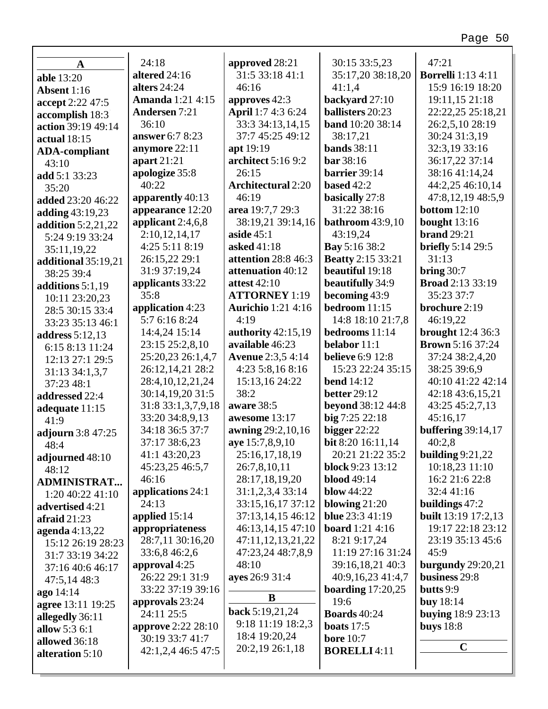| A                      | 24:18                                        | approved 28:21            | 30:15 33:5,23                    | 47:21                      |
|------------------------|----------------------------------------------|---------------------------|----------------------------------|----------------------------|
| <b>able</b> 13:20      | altered 24:16                                | 31:5 33:18 41:1           | 35:17,20 38:18,20                | <b>Borrelli</b> 1:13 4:11  |
| Absent 1:16            | alters $24:24$                               | 46:16                     | 41:1,4                           | 15:9 16:19 18:20           |
| accept 2:22 47:5       | <b>Amanda</b> 1:21 4:15                      | approves 42:3             | backyard 27:10                   | 19:11,15 21:18             |
| accomplish 18:3        | <b>Andersen</b> 7:21                         | April 1:7 4:3 6:24        | <b>ballisters</b> 20:23          | 22:22,25 25:18,21          |
| action 39:19 49:14     | 36:10                                        | 33:3 34:13,14,15          | <b>band</b> 10:20 38:14          | 26:2,5,10 28:19            |
| actual $18:15$         | answer 6:7 8:23                              | 37:7 45:25 49:12          | 38:17,21                         | 30:24 31:3,19              |
| <b>ADA-compliant</b>   | anymore 22:11                                | apt 19:19                 | <b>bands</b> 38:11               | 32:3,19 33:16              |
| 43:10                  | apart 21:21                                  | architect 5:16 9:2        | <b>bar</b> 38:16                 | 36:17,22 37:14             |
| add 5:1 33:23          | apologize 35:8                               | 26:15                     | barrier 39:14                    | 38:16 41:14,24             |
| 35:20                  | 40:22                                        | <b>Architectural 2:20</b> | based $42:2$                     | 44:2,25 46:10,14           |
| added 23:20 46:22      | apparently 40:13                             | 46:19                     | basically 27:8                   | 47:8,12,19 48:5,9          |
| adding 43:19,23        | appearance 12:20                             | area 19:7,7 29:3          | 31:22 38:16                      | <b>bottom</b> $12:10$      |
| addition $5:2,21,22$   | applicant 2:4,6,8                            | 38:19,21 39:14,16         | <b>bathroom</b> 43:9,10          | bought $13:16$             |
| 5:24 9:19 33:24        | 2:10,12,14,17                                | aside $45:1$              | 43:19,24                         | <b>brand</b> 29:21         |
| 35:11,19,22            | 4:25 5:11 8:19                               | asked 41:18               | Bay 5:16 38:2                    | <b>briefly</b> 5:14 29:5   |
| additional 35:19,21    | 26:15,22 29:1                                | attention 28:8 46:3       | <b>Beatty</b> 2:15 33:21         | 31:13                      |
| 38:25 39:4             | 31:9 37:19,24                                | attenuation 40:12         | beautiful 19:18                  | bring $30:7$               |
| additions 5:1,19       | applicants 33:22                             | <b>attest 42:10</b>       | beautifully 34:9                 | <b>Broad</b> 2:13 33:19    |
| 10:11 23:20,23         | 35:8                                         | <b>ATTORNEY</b> 1:19      | becoming 43:9                    | 35:23 37:7                 |
| 28:5 30:15 33:4        | application 4:23                             | <b>Aurichio</b> 1:21 4:16 | bedroom $11:15$                  | brochure 2:19              |
| 33:23 35:13 46:1       | 5:7 6:16 8:24                                | 4:19                      | 14:8 18:10 21:7,8                | 46:19,22                   |
| <b>address</b> 5:12,13 | 14:4,24 15:14                                | authority 42:15,19        | bedrooms 11:14                   | <b>brought</b> 12:4 36:3   |
| 6:15 8:13 11:24        | 23:15 25:2,8,10                              | available 46:23           | belabor 11:1                     | <b>Brown</b> 5:16 37:24    |
| 12:13 27:1 29:5        | 25:20,23 26:1,4,7                            | <b>Avenue</b> 2:3,5 4:14  | <b>believe</b> 6:9 12:8          | 37:24 38:2,4,20            |
| 31:13 34:1,3,7         | 26:12,14,21 28:2                             | 4:23 5:8,16 8:16          | 15:23 22:24 35:15                | 38:25 39:6,9               |
| 37:23 48:1             | 28:4, 10, 12, 21, 24                         | 15:13,16 24:22            | <b>bend</b> 14:12                | 40:10 41:22 42:14          |
| addressed 22:4         | 30:14,19,20 31:5                             | 38:2                      | <b>better</b> 29:12              | 42:18 43:6,15,21           |
| adequate 11:15         | 31:8 33:1,3,7,9,18                           | aware 38:5                | <b>beyond</b> 38:12 44:8         | 43:25 45:2,7,13            |
| 41:9                   | 33:20 34:8,9,13                              | awesome 13:17             | big 7:25 22:18                   | 45:16,17                   |
| adjourn 3:8 47:25      | 34:18 36:5 37:7                              | awning 29:2,10,16         | bigger $22:22$                   | <b>buffering</b> 39:14,17  |
| 48:4                   | 37:17 38:6,23                                | aye 15:7,8,9,10           | bit 8:20 16:11,14                | 40:2,8                     |
| adjourned 48:10        | 41:1 43:20,23                                | 25:16,17,18,19            | 20:21 21:22 35:2                 | building $9:21,22$         |
| 48:12                  | 45:23,25 46:5,7                              | 26:7,8,10,11              | block 9:23 13:12                 | 10:18,23 11:10             |
| <b>ADMINISTRAT</b>     | 46:16                                        | 28:17,18,19,20            | <b>blood</b> 49:14               | 16:2 21:6 22:8             |
| 1:20 40:22 41:10       | applications 24:1                            | 31:1,2,3,4 33:14          | blow $44:22$                     | 32:4 41:16                 |
| advertised 4:21        | 24:13                                        | 33:15,16,17 37:12         | blowing $21:20$                  | buildings $47:2$           |
| afraid $21:23$         | applied 15:14                                | 37:13,14,15 46:12         | <b>blue</b> 23:3 41:19           | <b>built</b> 13:19 17:2,13 |
| agenda $4:13,22$       | appropriateness                              | 46:13,14,15 47:10         | <b>board</b> 1:21 4:16           | 19:17 22:18 23:12          |
| 15:12 26:19 28:23      | 28:7,11 30:16,20                             | 47:11,12,13,21,22         | 8:21 9:17,24                     | 23:19 35:13 45:6           |
| 31:7 33:19 34:22       | 33:6,8 46:2,6                                | 47:23,24 48:7,8,9         | 11:19 27:16 31:24                | 45:9                       |
| 37:16 40:6 46:17       | approval 4:25                                | 48:10                     | 39:16,18,21 40:3                 | burgundy 29:20,21          |
| 47:5,14 48:3           | 26:22 29:1 31:9                              | ayes 26:9 31:4            | 40:9,16,23 41:4,7                | business 29:8              |
| ago 14:14              | 33:22 37:19 39:16                            | $\bf{B}$                  | boarding $17:20,25$              | butts $9:9$                |
| agree 13:11 19:25      | approvals 23:24                              | back 5:19,21,24           | 19:6                             | <b>buy</b> 18:14           |
| allegedly 36:11        | 24:11 25:5                                   | 9:18 11:19 18:2,3         | <b>Boards</b> 40:24              | <b>buying</b> 18:9 23:13   |
| allow 5:3 6:1          | <b>approve</b> 2:22 28:10<br>30:19 33:7 41:7 | 18:4 19:20,24             | boats $17:5$<br><b>bore</b> 10:7 | buys $18:8$                |
| allowed 36:18          |                                              | 20:2,19 26:1,18           | <b>BORELLI4:11</b>               | $\mathbf C$                |
| alteration 5:10        | 42:1,2,4 46:5 47:5                           |                           |                                  |                            |
|                        |                                              |                           |                                  |                            |

г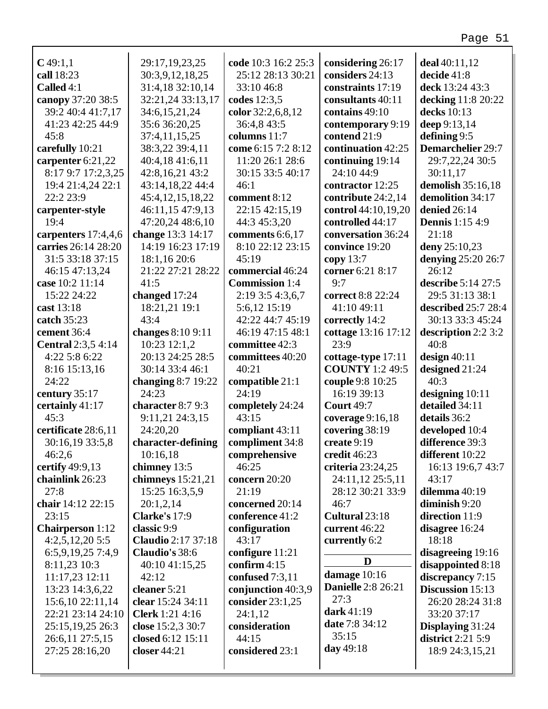| $C$ 49:1,1                | 29:17,19,23,25            | code 10:3 16:2 25:3   | considering 26:17         | deal $40:11,12$          |
|---------------------------|---------------------------|-----------------------|---------------------------|--------------------------|
| call 18:23                | 30:3,9,12,18,25           | 25:12 28:13 30:21     | considers 24:13           | decide 41:8              |
| Called 4:1                | 31:4,18 32:10,14          | 33:10 46:8            | constraints 17:19         | deck 13:24 43:3          |
| canopy 37:20 38:5         | 32:21,24 33:13,17         | codes 12:3,5          | consultants 40:11         | decking 11:8 20:22       |
| 39:2 40:4 41:7,17         | 34:6,15,21,24             | color 32:2,6,8,12     | contains 49:10            | decks 10:13              |
| 41:23 42:25 44:9          | 35:6 36:20,25             | 36:4,8 43:5           | contemporary 9:19         | deep 9:13,14             |
| 45:8                      | 37:4,11,15,25             | columns 11:7          | contend 21:9              | defining 9:5             |
| carefully 10:21           | 38:3,22 39:4,11           | come 6:15 7:2 8:12    | continuation 42:25        | Demarchelier 29:7        |
| carpenter 6:21,22         | 40:4,18 41:6,11           | 11:20 26:1 28:6       | continuing 19:14          | 29:7,22,24 30:5          |
| 8:17 9:7 17:2,3,25        | 42:8,16,21 43:2           | 30:15 33:5 40:17      | 24:10 44:9                | 30:11,17                 |
| 19:4 21:4,24 22:1         | 43:14,18,22 44:4          | 46:1                  | contractor 12:25          | demolish 35:16,18        |
| 22:2 23:9                 | 45:4, 12, 15, 18, 22      | comment 8:12          | contribute 24:2,14        | demolition 34:17         |
| carpenter-style           | 46:11,15 47:9,13          | 22:15 42:15,19        | control 44:10,19,20       | denied 26:14             |
| 19:4                      | 47:20,24 48:6,10          | 44:3 45:3,20          | controlled 44:17          | <b>Dennis</b> 1:15 4:9   |
| carpenters 17:4,4,6       | change 13:3 14:17         | comments 6:6,17       | conversation 36:24        | 21:18                    |
| carries 26:14 28:20       | 14:19 16:23 17:19         | 8:10 22:12 23:15      | convince 19:20            | deny 25:10,23            |
| 31:5 33:18 37:15          | 18:1,16 20:6              | 45:19                 | copy $13:7$               | denying 25:20 26:7       |
| 46:15 47:13,24            | 21:22 27:21 28:22         | commercial 46:24      | corner 6:21 8:17          | 26:12                    |
| case 10:2 11:14           | 41:5                      | <b>Commission</b> 1:4 | 9:7                       | describe 5:14 27:5       |
| 15:22 24:22               | changed 17:24             | 2:19 3:5 4:3,6,7      | correct 8:8 22:24         | 29:5 31:13 38:1          |
| cast 13:18                | 18:21,21 19:1             | 5:6,12 15:19          | 41:10 49:11               | described 25:7 28:4      |
| catch 35:23               | 43:4                      | 42:22 44:7 45:19      | correctly 14:2            | 30:13 33:3 45:24         |
| cement 36:4               | changes 8:10 9:11         | 46:19 47:15 48:1      | cottage 13:16 17:12       | description 2:2 3:2      |
| <b>Central</b> 2:3,5 4:14 | 10:23 12:1,2              | committee 42:3        | 23:9                      | 40:8                     |
| 4:22 5:8 6:22             | 20:13 24:25 28:5          | committees 40:20      | cottage-type 17:11        | design $40:11$           |
| 8:16 15:13,16             | 30:14 33:4 46:1           | 40:21                 | <b>COUNTY</b> 1:2 49:5    | designed 21:24           |
| 24:22                     | changing 8:7 19:22        | compatible 21:1       | couple 9:8 10:25          | 40:3                     |
| century 35:17             | 24:23                     | 24:19                 | 16:19 39:13               | designing 10:11          |
| certainly 41:17           | character 8:7 9:3         | completely 24:24      | <b>Court 49:7</b>         | detailed 34:11           |
| 45:3                      | 9:11,21 24:3,15           | 43:15                 | coverage $9:16,18$        | details 36:2             |
| certificate 28:6,11       | 24:20,20                  | compliant 43:11       | covering 38:19            | developed 10:4           |
| 30:16,19 33:5,8           | character-defining        | compliment 34:8       | create 9:19               | difference 39:3          |
| 46:2,6                    | 10:16,18                  | comprehensive         | credit 46:23              | different 10:22          |
| certify 49:9,13           | chimney 13:5              | 46:25                 | criteria 23:24,25         | 16:13 19:6,7 43:7        |
| chainlink 26:23           | chimneys 15:21,21         | concern 20:20         | 24:11,12 25:5,11          | 43:17                    |
| 27:8                      | 15:25 16:3,5,9            | 21:19                 | 28:12 30:21 33:9          | dilemma 40:19            |
| chair 14:12 22:15         | 20:1,2,14                 | concerned 20:14       | 46:7                      | diminish 9:20            |
| 23:15                     | Clarke's $17:9$           | conference 41:2       | Cultural 23:18            | direction 11:9           |
| <b>Chairperson</b> 1:12   | classic 9:9               | configuration         | current 46:22             | disagree 16:24           |
| 4:2,5,12,205:5            | <b>Claudio</b> 2:17 37:18 | 43:17                 | currently 6:2             | 18:18                    |
| 6:5,9,19,25 7:4,9         | Claudio's 38:6            | configure 11:21       |                           | disagreeing 19:16        |
| 8:11,23 10:3              | 40:10 41:15,25            | confirm $4:15$        | D                         | disappointed 8:18        |
| 11:17,23 12:11            | 42:12                     | confused 7:3,11       | damage 10:16              | discrepancy 7:15         |
| 13:23 14:3,6,22           | cleaner 5:21              | conjunction 40:3,9    | <b>Danielle</b> 2:8 26:21 | Discussion 15:13         |
| 15:6,10 22:11,14          | clear 15:24 34:11         | consider $23:1,25$    | 27:3                      | 26:20 28:24 31:8         |
| 22:21 23:14 24:10         | <b>Clerk</b> 1:21 4:16    | 24:1,12               | dark $41:19$              | 33:20 37:17              |
| 25:15, 19, 25 26:3        | close 15:2,3 30:7         | consideration         | date 7:8 34:12            | Displaying 31:24         |
| 26:6,11 27:5,15           | closed 6:12 15:11         | 44:15                 | 35:15                     | <b>district</b> 2:21 5:9 |
| 27:25 28:16,20            | closer 44:21              | considered 23:1       | day 49:18                 | 18:9 24:3,15,21          |
|                           |                           |                       |                           |                          |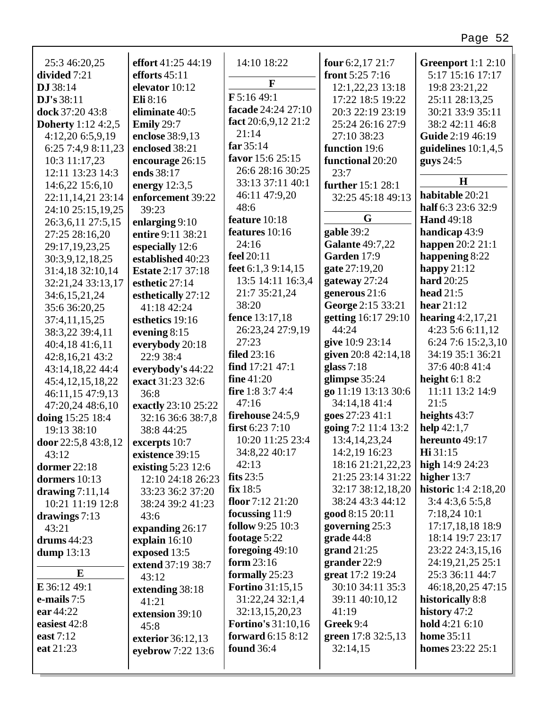| 25:3 46:20,25             | effort 41:25 44:19        | 14:10 18:22                    | four $6:2,17$ $21:7$   | <b>Greenport</b> 1:1 2:10   |
|---------------------------|---------------------------|--------------------------------|------------------------|-----------------------------|
| divided 7:21              | efforts $45:11$           | $\mathbf{F}$                   | front $5:257:16$       | 5:17 15:16 17:17            |
| DJ 38:14                  | elevator 10:12            | $F$ 5:16 49:1                  | 12:1,22,23 13:18       | 19:8 23:21,22               |
| DJ's 38:11                | Eli 8:16                  | facade 24:24 27:10             | 17:22 18:5 19:22       | 25:11 28:13,25              |
| dock 37:20 43:8           | eliminate 40:5            |                                | 20:3 22:19 23:19       | 30:21 33:9 35:11            |
| <b>Doherty</b> 1:12 4:2,5 | Emily 29:7                | fact $20:6,9,12$ 21:2<br>21:14 | 25:24 26:16 27:9       | 38:2 42:11 46:8             |
| 4:12,20 6:5,9,19          | enclose 38:9,13           | far $35:14$                    | 27:10 38:23            | Guide 2:19 46:19            |
| 6:25 7:4,9 8:11,23        | enclosed 38:21            | favor 15:6 25:15               | function 19:6          | guidelines $10:1,4,5$       |
| 10:3 11:17,23             | encourage 26:15           | 26:6 28:16 30:25               | functional 20:20       | guys $24:5$                 |
| 12:11 13:23 14:3          | ends 38:17                | 33:13 37:11 40:1               | 23:7                   | $\mathbf H$                 |
| 14:6,22 15:6,10           | energy $12:3,5$           | 46:11 47:9,20                  | further 15:1 28:1      | habitable 20:21             |
| 22:11,14,21 23:14         | enforcement 39:22         | 48:6                           | 32:25 45:18 49:13      | half 6:3 23:6 32:9          |
| 24:10 25:15,19,25         | 39:23                     | feature 10:18                  | G                      | <b>Hand</b> 49:18           |
| 26:3,6,11 27:5,15         | enlarging 9:10            | features 10:16                 | gable 39:2             | handicap 43:9               |
| 27:25 28:16,20            | entire 9:11 38:21         | 24:16                          | <b>Galante 49:7,22</b> | <b>happen</b> 20:2 21:1     |
| 29:17,19,23,25            | especially 12:6           | feel 20:11                     | Garden 17:9            | happening 8:22              |
| 30:3,9,12,18,25           | established 40:23         | feet $6:1,39:14,15$            | gate 27:19,20          | happy $21:12$               |
| 31:4,18 32:10,14          | <b>Estate 2:17 37:18</b>  | 13:5 14:11 16:3,4              | gateway 27:24          | <b>hard</b> 20:25           |
| 32:21,24 33:13,17         | esthetic 27:14            | 21:7 35:21,24                  | generous 21:6          | head $21:5$                 |
| 34:6, 15, 21, 24          | esthetically 27:12        | 38:20                          | George 2:15 33:21      | hear $21:12$                |
| 35:6 36:20,25             | 41:18 42:24               | fence 13:17,18                 | getting 16:17 29:10    | hearing $4:2,17,21$         |
| 37:4,11,15,25             | esthetics 19:16           | 26:23,24 27:9,19               | 44:24                  | 4:23 5:6 6:11,12            |
| 38:3,22 39:4,11           | evening $8:15$            | 27:23                          | give 10:9 23:14        | 6:24 7:6 15:2,3,10          |
| 40:4,18 41:6,11           | everybody 20:18           | filed $23:16$                  | given 20:8 42:14,18    | 34:19 35:1 36:21            |
| 42:8,16,21 43:2           | 22:9 38:4                 | find 17:21 47:1                | glass $7:18$           | 37:6 40:8 41:4              |
| 43:14,18,22 44:4          | everybody's 44:22         | fine $41:20$                   | glimpse 35:24          | height $6:18:2$             |
| 45:4, 12, 15, 18, 22      | exact 31:23 32:6          | <b>fire</b> 1:8 3:7 4:4        | go 11:19 13:13 30:6    | 11:11 13:2 14:9             |
| 46:11,15 47:9,13          | 36:8                      | 47:16                          | 34:14,18 41:4          | 21:5                        |
| 47:20,24 48:6,10          | exactly 23:10 25:22       | firehouse 24:5,9               | goes 27:23 41:1        | heights 43:7                |
| doing 15:25 18:4          | 32:16 36:6 38:7,8         | first $6:237:10$               | going 7:2 11:4 13:2    | help $42:1,7$               |
| 19:13 38:10               | 38:8 44:25                | 10:20 11:25 23:4               | 13:4, 14, 23, 24       | hereunto 49:17              |
| door 22:5,8 43:8,12       | excerpts 10:7             | 34:8,22 40:17                  | 14:2,19 16:23          | $\mathbf{Hi} 31:15$         |
| 43:12                     | existence 39:15           | 42:13                          | 18:16 21:21,22,23      | high $14:924:23$            |
| dormer $22:18$            | existing 5:23 12:6        | fits $23:5$                    | 21:25 23:14 31:22      | higher 13:7                 |
| dormers 10:13             | 12:10 24:18 26:23         | fix 18:5                       | 32:17 38:12,18,20      | <b>historic</b> 1:4 2:18,20 |
| drawing $7:11,14$         | 33:23 36:2 37:20          | floor $7:12\;21:20$            | 38:24 43:3 44:12       | 3:44:3,65:5,8               |
| 10:21 11:19 12:8          | 38:24 39:2 41:23          | focussing 11:9                 | good 8:15 20:11        | 7:18,24 10:1                |
| drawings 7:13             | 43:6                      | follow 9:25 10:3               | governing 25:3         | 17:17,18,18 18:9            |
| 43:21                     | expanding 26:17           | footage 5:22                   | grade 44:8             | 18:14 19:7 23:17            |
| drums $44:23$             | explain $16:10$           | foregoing $49:10$              | grand $21:25$          | 23:22 24:3,15,16            |
| dump $13:13$              | exposed 13:5              | form $23:16$                   | grander 22:9           | 24:19,21,25 25:1            |
| ${\bf E}$                 | extend 37:19 38:7         | formally 25:23                 | great 17:2 19:24       | 25:3 36:11 44:7             |
| E 36:12 49:1              | 43:12                     | <b>Fortino</b> 31:15,15        | 30:10 34:11 35:3       | 46:18,20,25 47:15           |
| e-mails 7:5               | extending 38:18           | 31:22,24 32:1,4                | 39:11 40:10,12         | historically 8:8            |
| ear 44:22                 | 41:21                     | 32:13,15,20,23                 | 41:19                  | history 47:2                |
| easiest 42:8              | extension 39:10           | <b>Fortino's 31:10,16</b>      | Greek 9:4              | hold $4:216:10$             |
| east 7:12                 | 45:8<br>exterior 36:12,13 | forward 6:15 8:12              | green 17:8 32:5,13     | home 35:11                  |
| eat 21:23                 |                           | <b>found</b> 36:4              | 32:14,15               | homes 23:22 25:1            |
|                           | eyebrow 7:22 13:6         |                                |                        |                             |
|                           |                           |                                |                        |                             |

г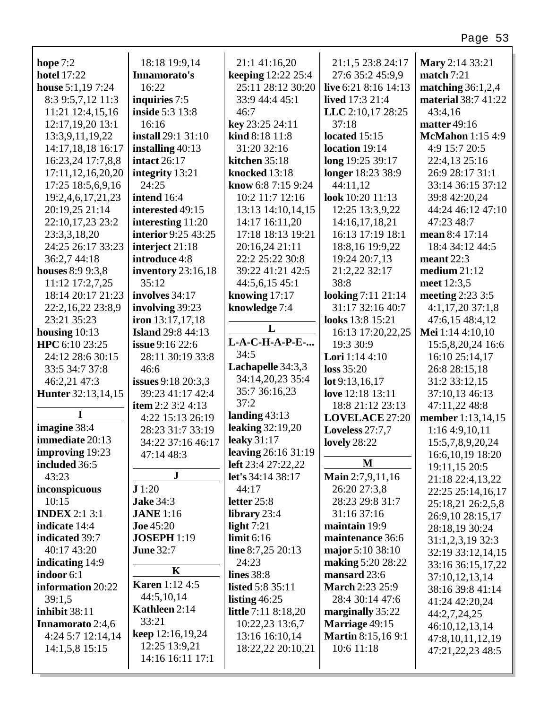## 27:6 35:2 45:9,9 **live** 6:21 8:16 14:13 **lived** 17:3 21:4 **LLC** 2:10,17 28:25 **match** 7:21 43:4,16

| hope $7:2$                | 18:18 19:9,14             | 21:1 41:16,20                  | 21:1,5 23:8 24:17                | Mary 2:14 33:21                |
|---------------------------|---------------------------|--------------------------------|----------------------------------|--------------------------------|
| <b>hotel 17:22</b>        | Innamorato's              | keeping 12:22 25:4             | 27:6 35:2 45:9,9                 | match $7:21$                   |
| house $5:1,197:24$        | 16:22                     | 25:11 28:12 30:20              | live 6:21 8:16 14:13             | matching $36:1,2,4$            |
| 8:3 9:5,7,12 11:3         | inquiries 7:5             | 33:9 44:4 45:1                 | <b>lived</b> 17:3 21:4           | material 38:7 41:22            |
| 11:21 12:4,15,16          | <b>inside 5:3 13:8</b>    | 46:7                           | LLC 2:10,17 28:25                | 43:4,16                        |
| 12:17,19,20 13:1          | 16:16                     | key 23:25 24:11                | 37:18                            | matter 49:16                   |
| 13:3,9,11,19,22           | install 29:1 31:10        | kind 8:18 11:8                 | located 15:15                    | <b>McMahon</b> 1:15 4:9        |
| 14:17,18,18 16:17         | installing 40:13          | 31:20 32:16                    | location 19:14                   | 4:9 15:7 20:5                  |
| 16:23,24 17:7,8,8         | intact $26:17$            | kitchen 35:18                  | long 19:25 39:17                 | 22:4,13 25:16                  |
| 17:11, 12, 16, 20, 20     | integrity 13:21           | knocked 13:18                  | longer 18:23 38:9                | 26:9 28:17 31:1                |
| 17:25 18:5,6,9,16         | 24:25                     | know 6:8 7:15 9:24             | 44:11,12                         | 33:14 36:15 37:12              |
| 19:2,4,6,17,21,23         | intend 16:4               | 10:2 11:7 12:16                | look 10:20 11:13                 | 39:8 42:20,24                  |
| 20:19,25 21:14            | interested 49:15          | 13:13 14:10,14,15              | 12:25 13:3,9,22                  | 44:24 46:12 47:10              |
| 22:10,17,23 23:2          | interesting 11:20         | 14:17 16:11,20                 | 14:16,17,18,21                   | 47:23 48:7                     |
| 23:3,3,18,20              | interior 9:25 43:25       | 17:18 18:13 19:21              | 16:13 17:19 18:1                 | mean 8:4 17:14                 |
| 24:25 26:17 33:23         | interject 21:18           | 20:16,24 21:11                 | 18:8,16 19:9,22                  | 18:4 34:12 44:5                |
| 36:2,7 44:18              | introduce 4:8             | 22:2 25:22 30:8                | 19:24 20:7,13                    | meant $22:3$                   |
| houses 8:9 9:3,8          | inventory $23:16,18$      | 39:22 41:21 42:5               | 21:2,22 32:17                    | medium $21:12$                 |
| 11:12 17:2,7,25           | 35:12                     | 44:5,6,15 45:1                 | 38:8                             | meet 12:3,5                    |
| 18:14 20:17 21:23         | involves 34:17            | knowing 17:17                  | looking 7:11 21:14               | meeting 2:23 3:5               |
| 22:2,16,22 23:8,9         | involving 39:23           | knowledge 7:4                  | 31:17 32:16 40:7                 | $4:1,17,20$ 37:1,8             |
| 23:21 35:23               | iron $13:17,17,18$        |                                | looks 13:8 15:21                 | 47:6,15 48:4,12                |
| housing $10:13$           | <b>Island</b> 29:8 44:13  | L                              | 16:13 17:20,22,25                | Mei 1:14 4:10,10               |
| HPC 6:10 23:25            | <b>issue</b> 9:16 22:6    | L-A-C-H-A-P-E-                 | 19:3 30:9                        | 15:5,8,20,24 16:6              |
| 24:12 28:6 30:15          | 28:11 30:19 33:8          | 34:5                           | Lori 1:14 4:10                   | 16:10 25:14,17                 |
| 33:5 34:7 37:8            | 46:6                      | Lachapelle 34:3,3              | loss 35:20                       | 26:8 28:15,18                  |
| 46:2,21 47:3              | <b>issues</b> 9:18 20:3,3 | 34:14,20,23 35:4               | lot $9:13,16,17$                 | 31:2 33:12,15                  |
| <b>Hunter</b> 32:13,14,15 | 39:23 41:17 42:4          | 35:7 36:16,23                  | love 12:18 13:11                 | 37:10,13 46:13                 |
|                           | item $2:2$ 3:2 4:13       | 37:2                           | 18:8 21:12 23:13                 | 47:11,22 48:8                  |
|                           | 4:22 15:13 26:19          | landing $43:13$                | <b>LOVELACE 27:20</b>            | member 1:13,14,15              |
| imagine 38:4              | 28:23 31:7 33:19          | <b>leaking</b> 32:19,20        | Loveless $27:7,7$                | 1:16 4:9,10,11                 |
| immediate 20:13           | 34:22 37:16 46:17         | leaky $31:17$                  | <b>lovely</b> 28:22              | 15:5,7,8,9,20,24               |
| improving 19:23           | 47:14 48:3                | leaving 26:16 31:19            | M                                | 16:6, 10, 19 18:20             |
| included 36:5<br>43:23    | $\bf J$                   | left 23:4 27:22,22             |                                  | 19:11,15 20:5                  |
|                           | J1:20                     | let's $34:14$ $38:17$<br>44:17 | Main 2:7,9,11,16<br>26:20 27:3,8 | 21:18 22:4,13,22               |
| inconspicuous<br>10:15    | <b>Jake 34:3</b>          | letter $25:8$                  | 28:23 29:8 31:7                  | 22:25 25:14,16,17              |
| <b>INDEX</b> 2:1 3:1      | <b>JANE</b> 1:16          | library $23:4$                 | 31:16 37:16                      | 25:18,21 26:2,5,8              |
| indicate 14:4             | Joe $45:20$               | light $7:21$                   | maintain 19:9                    | 26:9,10 28:15,17               |
| <b>indicated</b> 39:7     | <b>JOSEPH 1:19</b>        | limit 6:16                     | maintenance 36:6                 | 28:18,19 30:24                 |
| 40:17 43:20               | <b>June 32:7</b>          | line $8:7,25$ 20:13            | major 5:10 38:10                 | $31:1,2,3,19$ 32:3             |
| <b>indicating</b> 14:9    |                           | 24:23                          | making 5:20 28:22                | 32:19 33:12,14,15              |
| indoor 6:1                | K                         | lines 38:8                     | mansard 23:6                     | 33:16 36:15,17,22              |
| information 20:22         | <b>Karen</b> 1:12 4:5     | <b>listed</b> 5:8 35:11        | <b>March 2:23 25:9</b>           | 37:10,12,13,14                 |
| 39:1,5                    | 44:5,10,14                | listing $46:25$                | 28:4 30:14 47:6                  | 38:16 39:8 41:14               |
| <b>inhibit 38:11</b>      | Kathleen 2:14             | <b>little</b> 7:11 8:18,20     | marginally 35:22                 | 41:24 42:20,24<br>44:2,7,24,25 |
| <b>Innamorato</b> 2:4,6   | 33:21                     | 10:22,23 13:6,7                | Marriage 49:15                   | 46:10,12,13,14                 |
| 4:24 5:7 12:14,14         | <b>keep</b> 12:16,19,24   | 13:16 16:10,14                 | <b>Martin 8:15,16 9:1</b>        | 47:8,10,11,12,19               |
| $14:1,5,8$ 15:15          | 12:25 13:9,21             | 18:22,22 20:10,21              | 10:6 11:18                       | 47:21,22,23 48:5               |
|                           | 14:16 16:11 17:1          |                                |                                  |                                |
|                           |                           |                                |                                  |                                |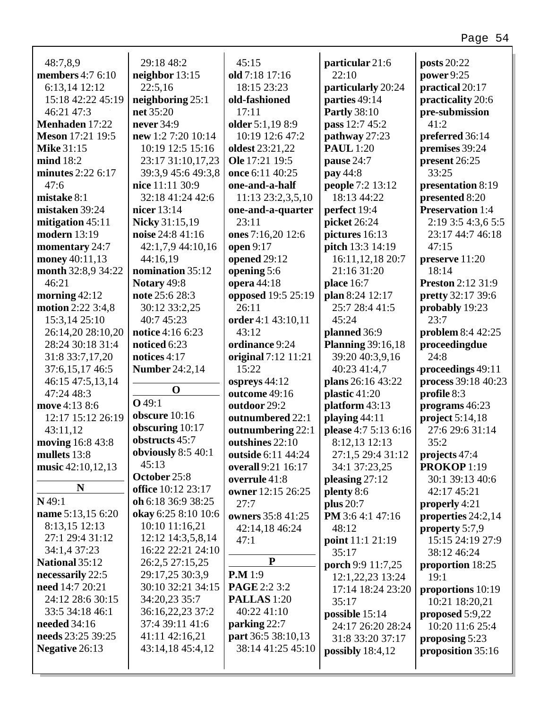| 48:7,8,9                 | 29:18 48:2            | 45:15               | particular 21:6          | posts 20:22              |
|--------------------------|-----------------------|---------------------|--------------------------|--------------------------|
| <b>members</b> 4:7 6:10  | neighbor $13:15$      | old 7:18 17:16      | 22:10                    | power 9:25               |
| 6:13,14 12:12            | 22:5,16               | 18:15 23:23         | particularly 20:24       | practical 20:17          |
| 15:18 42:22 45:19        | neighboring $25:1$    | old-fashioned       | parties 49:14            | practicality 20:6        |
| 46:21 47:3               | net 35:20             | 17:11               | <b>Partly 38:10</b>      | pre-submission           |
| Menhaden 17:22           | never 34:9            | older 5:1,19 8:9    | pass 12:7 45:2           | 41:2                     |
| <b>Meson</b> 17:21 19:5  | new 1:2 7:20 10:14    | 10:19 12:6 47:2     | pathway 27:23            | preferred 36:14          |
| <b>Mike 31:15</b>        | 10:19 12:5 15:16      | oldest 23:21,22     | <b>PAUL</b> 1:20         | premises 39:24           |
| mind 18:2                | 23:17 31:10,17,23     | Ole 17:21 19:5      | pause 24:7               | present 26:25            |
| minutes 2:22 6:17        | 39:3,9 45:6 49:3,8    | once 6:11 40:25     | pay 44:8                 | 33:25                    |
| 47:6                     | nice 11:11 30:9       | one-and-a-half      | people 7:2 13:12         | presentation 8:19        |
| mistake 8:1              | 32:18 41:24 42:6      | 11:13 23:2,3,5,10   | 18:13 44:22              | presented 8:20           |
| mistaken 39:24           | nicer 13:14           | one-and-a-quarter   | perfect 19:4             | <b>Preservation 1:4</b>  |
| mitigation $45:11$       | <b>Nicky</b> 31:15,19 | 23:11               | picket 26:24             | 2:19 3:5 4:3,6 5:5       |
| <b>modern</b> 13:19      | noise 24:8 41:16      | ones 7:16,20 12:6   | pictures 16:13           | 23:17 44:7 46:18         |
| momentary 24:7           | 42:1,7,9 44:10,16     | open 9:17           | pitch 13:3 14:19         | 47:15                    |
| money 40:11,13           | 44:16,19              | opened 29:12        | 16:11,12,18 20:7         | preserve 11:20           |
| month 32:8,9 34:22       | nomination 35:12      | opening 5:6         | 21:16 31:20              | 18:14                    |
| 46:21                    | Notary 49:8           | opera 44:18         | place 16:7               | <b>Preston 2:12 31:9</b> |
| morning $42:12$          | note 25:6 28:3        | opposed 19:5 25:19  | plan 8:24 12:17          | pretty 32:17 39:6        |
| <b>motion</b> 2:22 3:4,8 | 30:12 33:2,25         | 26:11               | 25:7 28:4 41:5           | probably 19:23           |
| 15:3,14 25:10            | 40:7 45:23            | order 4:1 43:10,11  | 45:24                    | 23:7                     |
| 26:14,20 28:10,20        | notice 4:16 6:23      | 43:12               | planned 36:9             | problem 8:4 42:25        |
| 28:24 30:18 31:4         | noticed 6:23          | ordinance 9:24      | <b>Planning 39:16,18</b> | proceedingdue            |
| 31:8 33:7,17,20          | notices 4:17          | original 7:12 11:21 | 39:20 40:3,9,16          | 24:8                     |
| 37:6,15,17 46:5          | <b>Number 24:2,14</b> | 15:22               | 40:23 41:4,7             | proceedings 49:11        |
| 46:15 47:5,13,14         |                       | ospreys $44:12$     | plans 26:16 43:22        | process 39:18 40:23      |
| 47:24 48:3               | $\mathbf 0$           | outcome 49:16       | plastic 41:20            | profile 8:3              |
| move 4:13 8:6            | $Q$ 49:1              | outdoor 29:2        | platform 43:13           | programs 46:23           |
| 12:17 15:12 26:19        | obscure 10:16         | outnumbered 22:1    | playing 44:11            | project $5:14,18$        |
| 43:11,12                 | obscuring 10:17       | outnumbering 22:1   | please 4:7 5:13 6:16     | 27:6 29:6 31:14          |
| moving 16:8 43:8         | obstructs 45:7        | outshines 22:10     | 8:12,13 12:13            | 35:2                     |
| mullets 13:8             | obviously 8:5 40:1    | outside 6:11 44:24  | 27:1,5 29:4 31:12        | projects 47:4            |
| music 42:10,12,13        | 45:13                 | overall 9:21 16:17  | 34:1 37:23,25            | PROKOP 1:19              |
|                          | October 25:8          | overrule 41:8       | pleasing $27:12$         | 30:1 39:13 40:6          |
| N                        | office 10:12 23:17    | owner 12:15 26:25   | plenty 8:6               | 42:17 45:21              |
| $N$ 49:1                 | oh 6:18 36:9 38:25    | 27:7                | <b>plus</b> 20:7         | properly 4:21            |
| name 5:13,15 6:20        | okay 6:25 8:10 10:6   | owners 35:8 41:25   | PM 3:6 4:1 47:16         | properties 24:2,14       |
| 8:13,15 12:13            | 10:10 11:16,21        | 42:14,18 46:24      | 48:12                    | property 5:7,9           |
| 27:1 29:4 31:12          | 12:12 14:3,5,8,14     | 47:1                | point 11:1 21:19         | 15:15 24:19 27:9         |
| 34:1,4 37:23             | 16:22 22:21 24:10     |                     | 35:17                    | 38:12 46:24              |
| <b>National 35:12</b>    | 26:2,5 27:15,25       | $\mathbf{P}$        | porch 9:9 11:7,25        | proportion 18:25         |
| necessarily 22:5         | 29:17,25 30:3,9       | <b>P.M</b> 1:9      | 12:1,22,23 13:24         | 19:1                     |
| need 14:7 20:21          | 30:10 32:21 34:15     | PAGE 2:2 3:2        | 17:14 18:24 23:20        | proportions 10:19        |
| 24:12 28:6 30:15         | 34:20,23 35:7         | <b>PALLAS</b> 1:20  | 35:17                    | 10:21 18:20,21           |
| 33:5 34:18 46:1          | 36:16,22,23 37:2      | 40:22 41:10         | possible 15:14           | proposed $5:9,22$        |
| <b>needed</b> 34:16      | 37:4 39:11 41:6       | parking 22:7        | 24:17 26:20 28:24        | 10:20 11:6 25:4          |
| needs 23:25 39:25        | 41:11 42:16,21        | part 36:5 38:10,13  | 31:8 33:20 37:17         | proposing 5:23           |
| Negative 26:13           | 43:14,18 45:4,12      | 38:14 41:25 45:10   | possibly $18:4,12$       | proposition 35:16        |
|                          |                       |                     |                          |                          |
|                          |                       |                     |                          |                          |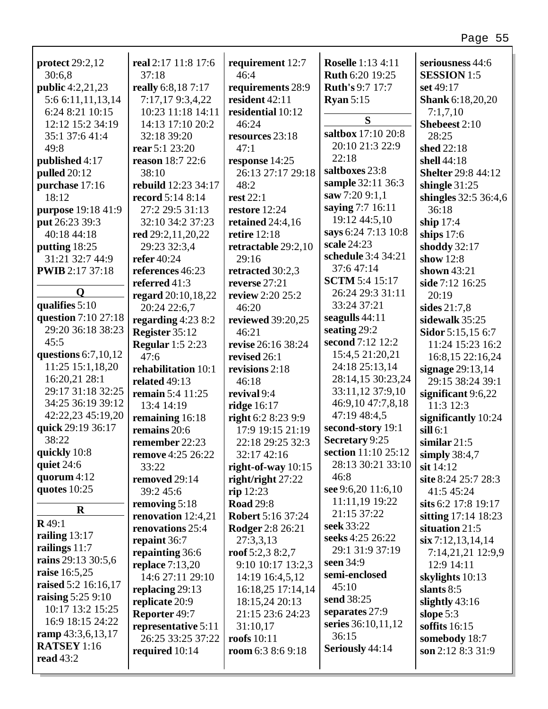| protect $29:2,12$       | real 2:17 11:8 17:6     | requirement 12:7         | <b>Roselle</b> 1:13 4:11 | seriousness 44:6          |
|-------------------------|-------------------------|--------------------------|--------------------------|---------------------------|
| 30:6,8                  | 37:18                   | 46:4                     | <b>Ruth 6:20 19:25</b>   | <b>SESSION 1:5</b>        |
| <b>public</b> 4:2,21,23 | really 6:8,187:17       | requirements 28:9        | <b>Ruth's 9:7 17:7</b>   | set 49:17                 |
| 5:6 6:11,11,13,14       | 7:17,179:3,4,22         | resident 42:11           | <b>Ryan</b> $5:15$       | <b>Shank</b> 6:18,20,20   |
| 6:24 8:21 10:15         | 10:23 11:18 14:11       | residential 10:12        | S                        | 7:1,7,10                  |
| 12:12 15:2 34:19        | 14:13 17:10 20:2        | 46:24                    |                          | Shebeest 2:10             |
| 35:1 37:6 41:4          | 32:18 39:20             | resources 23:18          | saltbox 17:10 20:8       | 28:25                     |
| 49:8                    | <b>rear</b> 5:1 23:20   | 47:1                     | 20:10 21:3 22:9          | shed 22:18                |
| published 4:17          | reason 18:7 22:6        | response 14:25           | 22:18                    | shell 44:18               |
| <b>pulled</b> 20:12     | 38:10                   | 26:13 27:17 29:18        | saltboxes 23:8           | <b>Shelter 29:8 44:12</b> |
| purchase 17:16          | rebuild 12:23 34:17     | 48:2                     | sample 32:11 36:3        | shingle $31:25$           |
| 18:12                   | record 5:14 8:14        | <b>rest 22:1</b>         | saw 7:20 9:1,1           | shingles 32:5 36:4,6      |
| purpose 19:18 41:9      | 27:2 29:5 31:13         | restore 12:24            | saying 7:7 16:11         | 36:18                     |
| put 26:23 39:3          | 32:10 34:2 37:23        | retained $24:4,16$       | 19:12 44:5,10            | ship $17:4$               |
| 40:18 44:18             | red 29:2,11,20,22       | retire $12:18$           | says 6:24 7:13 10:8      | ships $17:6$              |
| putting 18:25           | 29:23 32:3,4            | retractable 29:2,10      | scale 24:23              | shoddy 32:17              |
| 31:21 32:7 44:9         | refer 40:24             | 29:16                    | schedule 3:4 34:21       | show $12:8$               |
| <b>PWIB</b> 2:17 37:18  | references 46:23        | retracted 30:2,3         | 37:6 47:14               | shown $43:21$             |
|                         | referred 41:3           | reverse 27:21            | <b>SCTM</b> 5:4 15:17    | side 7:12 16:25           |
| Q                       | regard 20:10,18,22      | <b>review</b> 2:20 25:2  | 26:24 29:3 31:11         | 20:19                     |
| qualifies $5:10$        | 20:24 22:6,7            | 46:20                    | 33:24 37:21              | sides $21:7,8$            |
| question 7:10 27:18     | regarding $4:238:2$     | reviewed 39:20,25        | seagulls $44:11$         | sidewalk 35:25            |
| 29:20 36:18 38:23       | Register 35:12          | 46:21                    | seating 29:2             | Sidor 5:15,15 6:7         |
| 45:5                    | <b>Regular</b> 1:5 2:23 | revise 26:16 38:24       | second 7:12 12:2         | 11:24 15:23 16:2          |
| questions $6:7,10,12$   | 47:6                    | revised 26:1             | 15:4,5 21:20,21          | 16:8,15 22:16,24          |
| 11:25 15:1,18,20        | rehabilitation 10:1     | revisions 2:18           | 24:18 25:13,14           | signage $29:13,14$        |
| 16:20,21 28:1           | related 49:13           | 46:18                    | 28:14,15 30:23,24        | 29:15 38:24 39:1          |
| 29:17 31:18 32:25       | remain 5:4 11:25        | revival 9:4              | 33:11,12 37:9,10         | significant $9:6,22$      |
| 34:25 36:19 39:12       | 13:4 14:19              | ridge 16:17              | 46:9,10 47:7,8,18        | 11:3 12:3                 |
| 42:22,23 45:19,20       | remaining 16:18         | right 6:2 8:23 9:9       | 47:19 48:4,5             | significantly 10:24       |
| quick 29:19 36:17       | remains 20:6            | 17:9 19:15 21:19         | second-story 19:1        | $\textbf{sil }6:1$        |
| 38:22                   | remember 22:23          | 22:18 29:25 32:3         | Secretary 9:25           | similar $21:5$            |
| quickly 10:8            | remove 4:25 26:22       | 32:17 42:16              | section 11:10 25:12      | simply 38:4,7             |
| quiet 24:6              | 33:22                   | right-of-way $10:15$     | 28:13 30:21 33:10        | sit 14:12                 |
| quorum $4:12$           | removed 29:14           | right/right $27:22$      | 46:8                     | site 8:24 25:7 28:3       |
| quotes 10:25            | 39:2 45:6               | $rip$ 12:23              | see 9:6,20 11:6,10       | 41:5 45:24                |
|                         | removing 5:18           | <b>Road 29:8</b>         | 11:11,19 19:22           | sits 6:2 17:8 19:17       |
| $\mathbf R$             | renovation $12:4,21$    | <b>Robert 5:16 37:24</b> | 21:15 37:22              | sitting $17:14$ 18:23     |
| $R$ 49:1                | renovations 25:4        | <b>Rodger</b> 2:8 26:21  | seek 33:22               | situation 21:5            |
| railing $13:17$         | repaint 36:7            | 27:3,3,13                | seeks 4:25 26:22         | $\sin 7:12, 13, 14, 14$   |
| railings 11:7           | repainting 36:6         | roof $5:2,38:2,7$        | 29:1 31:9 37:19          | 7:14,21,21 12:9,9         |
| rains 29:13 30:5,6      | replace $7:13,20$       | 9:10 10:17 13:2,3        | seen 34:9                | 12:9 14:11                |
| <b>raise</b> 16:5,25    | 14:6 27:11 29:10        | 14:19 16:4,5,12          | semi-enclosed            | skylights 10:13           |
| raised 5:2 16:16,17     | replacing 29:13         | 16:18,25 17:14,14        | 45:10                    | slants 8:5                |
| raising $5:259:10$      | replicate 20:9          | 18:15,24 20:13           | send 38:25               | slightly $43:16$          |
| 10:17 13:2 15:25        | Reporter 49:7           | 21:15 23:6 24:23         | separates 27:9           | slope 5:3                 |
| 16:9 18:15 24:22        | representative 5:11     | 31:10,17                 | series 36:10,11,12       | soffits $16:15$           |
| ramp 43:3,6,13,17       | 26:25 33:25 37:22       | roofs $10:11$            | 36:15                    | somebody 18:7             |
| <b>RATSEY</b> 1:16      | required $10:14$        | room $6:38:69:18$        | Seriously 44:14          | son $2:128:331:9$         |
| <b>read 43:2</b>        |                         |                          |                          |                           |
|                         |                         |                          |                          |                           |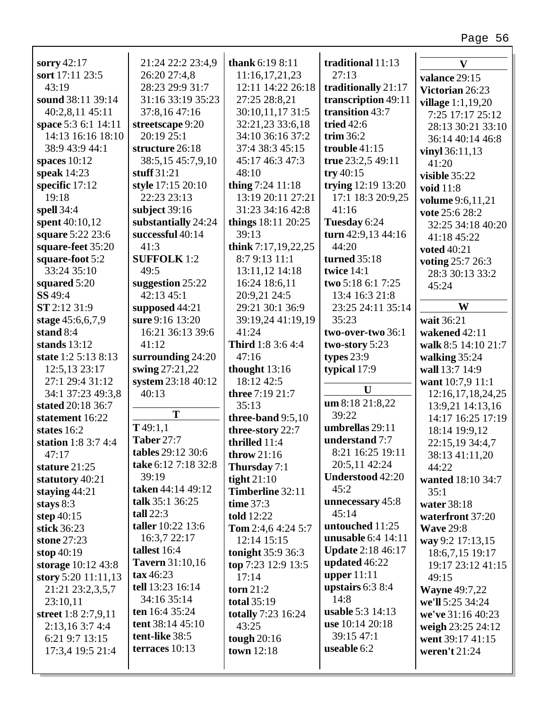| sorry 42:17                    | 21:24 22:2 23:4.9              | <b>thank</b> 6:19 8:11    | traditional 11:13                   | V                        |
|--------------------------------|--------------------------------|---------------------------|-------------------------------------|--------------------------|
| sort 17:11 23:5                | 26:20 27:4,8                   | 11:16,17,21,23            | 27:13                               |                          |
| 43:19                          | 28:23 29:9 31:7                | 12:11 14:22 26:18         | traditionally 21:17                 | valance 29:15            |
| sound 38:11 39:14              | 31:16 33:19 35:23              | 27:25 28:8,21             | transcription 49:11                 | Victorian 26:23          |
| 40:2,8,11 45:11                | 37:8,16 47:16                  | 30:10,11,17 31:5          | transition 43:7                     | <b>village</b> 1:1,19,20 |
| space 5:3 6:1 14:11            | streetscape 9:20               | 32:21,23 33:6,18          | tried $42:6$                        | 7:25 17:17 25:12         |
| 14:13 16:16 18:10              | 20:19 25:1                     | 34:10 36:16 37:2          | trim $36:2$                         | 28:13 30:21 33:10        |
| 38:9 43:9 44:1                 | structure 26:18                | 37:4 38:3 45:15           | trouble $41:15$                     | 36:14 40:14 46:8         |
| spaces $10:12$                 | 38:5,15 45:7,9,10              | 45:17 46:3 47:3           | true 23:2,5 49:11                   | vinyl 36:11,13           |
| speak $14:23$                  | stuff 31:21                    | 48:10                     | try $40:15$                         | 41:20                    |
| specific 17:12                 | style 17:15 20:10              | thing $7:24$ 11:18        | trying 12:19 13:20                  | visible 35:22            |
| 19:18                          | 22:23 23:13                    | 13:19 20:11 27:21         | 17:1 18:3 20:9,25                   | void 11:8                |
| spell 34:4                     | subject $39:16$                | 31:23 34:16 42:8          | 41:16                               | volume 9:6,11,21         |
| spent 40:10,12                 | substantially 24:24            | things 18:11 20:25        | Tuesday 6:24                        | vote 25:6 28:2           |
| square 5:22 23:6               | successful 40:14               | 39:13                     | turn 42:9,13 44:16                  | 32:25 34:18 40:20        |
| square-feet 35:20              | 41:3                           | think $7:17,19,22,25$     | 44:20                               | 41:18 45:22              |
|                                | <b>SUFFOLK</b> 1:2             | 8:7 9:13 11:1             | turned 35:18                        | voted 40:21              |
| square-foot 5:2<br>33:24 35:10 | 49:5                           |                           | twice 14:1                          | voting 25:7 26:3         |
|                                |                                | 13:11,12 14:18            | two 5:18 6:1 7:25                   | 28:3 30:13 33:2          |
| squared 5:20                   | suggestion 25:22<br>42:13 45:1 | 16:24 18:6,11             |                                     | 45:24                    |
| SS 49:4<br>ST 2:12 31:9        |                                | 20:9,21 24:5              | 13:4 16:3 21:8<br>23:25 24:11 35:14 | W                        |
|                                | supposed 44:21                 | 29:21 30:1 36:9           |                                     |                          |
| stage 45:6,6,7,9               | sure 9:16 13:20                | 39:19,24 41:19,19         | 35:23                               | wait 36:21               |
| stand 8:4                      | 16:21 36:13 39:6               | 41:24                     | two-over-two 36:1                   | wakened 42:11            |
| stands $13:12$                 | 41:12                          | <b>Third</b> 1:8 3:6 4:4  | two-story 5:23                      | walk 8:5 14:10 21:7      |
| state 1:2 5:13 8:13            | surrounding $24:20$            | 47:16                     | types $23:9$                        | walking $35:24$          |
| 12:5,13 23:17                  | swing 27:21,22                 | thought $13:16$           | typical 17:9                        | wall 13:7 14:9           |
| 27:1 29:4 31:12                | system 23:18 40:12             | 18:12 42:5                | U                                   | want 10:7,9 11:1         |
| 34:1 37:23 49:3,8              | 40:13                          | three 7:19 21:7           | um 8:18 21:8,22                     | 12:16,17,18,24,25        |
| stated 20:18 36:7              | T                              | 35:13                     | 39:22                               | 13:9,21 14:13,16         |
| statement 16:22                | T49:1,1                        | three-band 9:5,10         | umbrellas 29:11                     | 14:17 16:25 17:19        |
| states 16:2                    | <b>Taber 27:7</b>              | three-story 22:7          | understand 7:7                      | 18:14 19:9,12            |
| station $1:83:74:4$            | tables 29:12 30:6              | thrilled 11:4             | 8:21 16:25 19:11                    | 22:15,19 34:4,7          |
| 47:17                          | take 6:12 7:18 32:8            | throw $21:16$             | 20:5,11 42:24                       | 38:13 41:11,20           |
| stature $21:25$                | 39:19                          | Thursday 7:1              | <b>Understood 42:20</b>             | 44:22                    |
| statutory 40:21                | taken 44:14 49:12              | tight $21:10$             | 45:2                                | wanted 18:10 34:7        |
| staying $44:21$                | talk $35:1$ 36:25              | Timberline 32:11          |                                     | 35:1                     |
| stays $8:3$                    | tall $22:3$                    | time $37:3$               | unnecessary 45:8<br>45:14           | water 38:18              |
| step $40:15$                   | <b>taller</b> 10:22 13:6       | <b>told</b> 12:22         | untouched 11:25                     | waterfront 37:20         |
| stick 36:23                    |                                | Tom 2:4,6 4:24 5:7        | <b>unusable</b> 6:4 14:11           | <b>Wave 29:8</b>         |
| stone 27:23                    | 16:3,7 22:17                   | 12:14 15:15               |                                     | way 9:2 17:13,15         |
| stop $40:19$                   | tallest 16:4                   | tonight 35:9 36:3         | <b>Update 2:18 46:17</b>            | 18:6,7,15 19:17          |
| storage 10:12 43:8             | <b>Tavern</b> 31:10,16         | top 7:23 12:9 13:5        | updated 46:22                       | 19:17 23:12 41:15        |
| story 5:20 $11:11,13$          | $\text{tax}\,46:23$            | 17:14                     | upper $11:11$                       | 49:15                    |
| 21:21 23:2,3,5,7               | tell 13:23 16:14               | torn $21:2$               | upstairs $6:3$ $8:4$                | <b>Wayne 49:7,22</b>     |
| 23:10,11                       | 34:16 35:14                    | <b>total</b> 35:19        | 14:8                                | we'll 5:25 34:24         |
| street 1:8 2:7,9,11            | ten 16:4 35:24                 | <b>totally</b> 7:23 16:24 | <b>usable</b> 5:3 14:13             | we've 31:16 40:23        |
| 2:13,163:74:4                  | tent 38:14 45:10               | 43:25                     | use 10:14 20:18                     | weigh 23:25 24:12        |
| 6:21 9:7 13:15                 | tent-like 38:5                 | tough $20:16$             | 39:15 47:1                          | went 39:17 41:15         |
| 17:3,4 19:5 21:4               | terraces 10:13                 | town 12:18                | useable 6:2                         | weren't $21:24$          |
|                                |                                |                           |                                     |                          |

Г